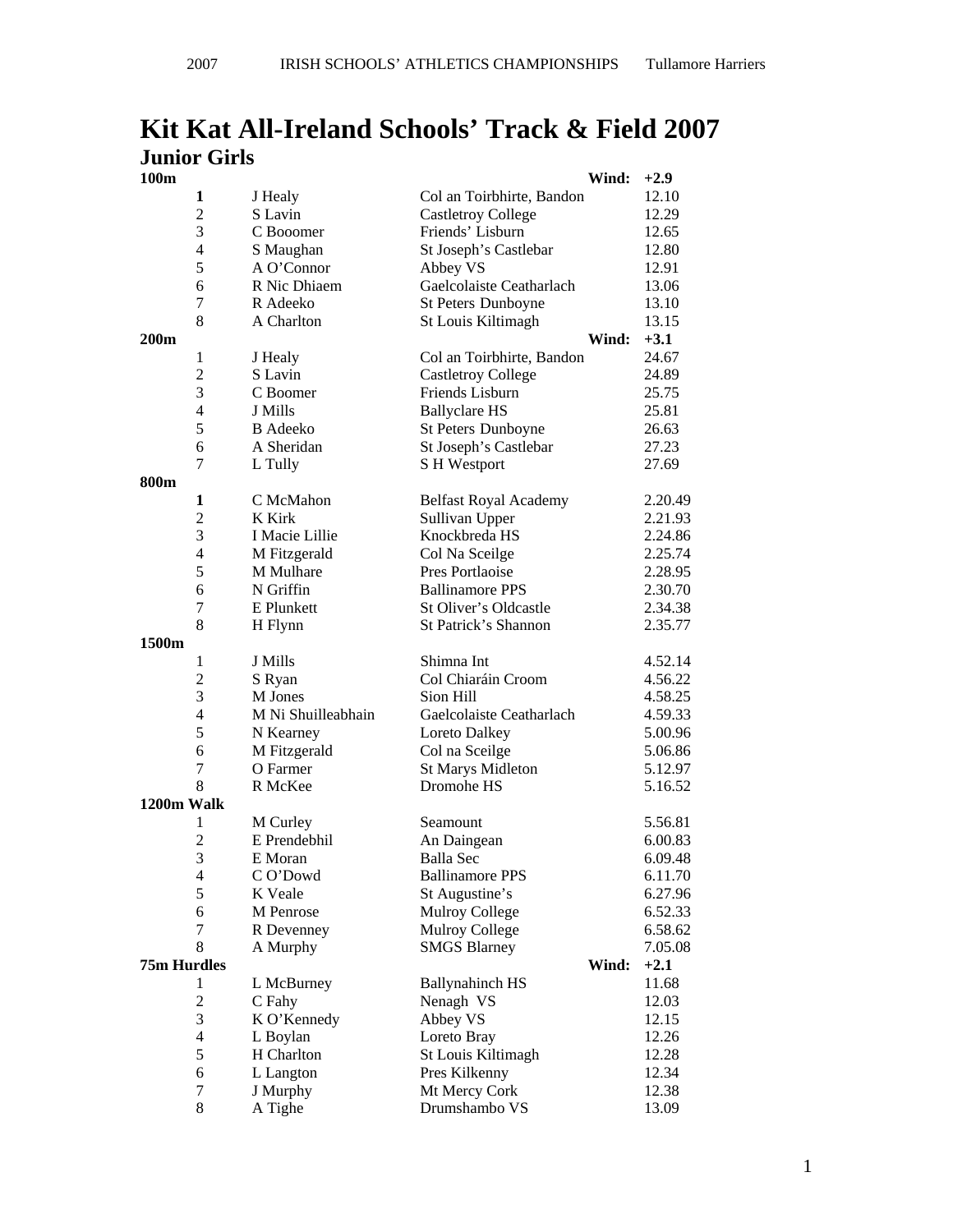# **Kit Kat All-Ireland Schools' Track & Field 2007 Junior Girls**

| 100m               |                     |                           |                                        | Wind: | $+2.9$             |
|--------------------|---------------------|---------------------------|----------------------------------------|-------|--------------------|
|                    | 1                   | J Healy                   | Col an Toirbhirte, Bandon              |       | 12.10              |
|                    | $\overline{2}$      | S Lavin                   | <b>Castletroy College</b>              |       | 12.29              |
|                    | 3                   | C Booomer                 | Friends' Lisburn                       |       | 12.65              |
|                    | $\overline{4}$      | S Maughan                 | St Joseph's Castlebar                  |       | 12.80              |
|                    | 5                   | A O'Connor                | Abbey VS                               |       | 12.91              |
|                    | 6                   | R Nic Dhiaem              | Gaelcolaiste Ceatharlach               |       | 13.06              |
|                    | 7                   | R Adeeko                  | St Peters Dunboyne                     |       | 13.10              |
|                    | 8                   | A Charlton                | St Louis Kiltimagh                     |       | 13.15              |
| 200 <sub>m</sub>   |                     |                           |                                        | Wind: | $+3.1$             |
|                    | $\mathbf{1}$        | J Healy                   | Col an Toirbhirte, Bandon              |       | 24.67              |
|                    | $\overline{2}$      | S Lavin                   | <b>Castletroy College</b>              |       | 24.89              |
|                    | 3                   | C Boomer                  | Friends Lisburn                        |       | 25.75              |
|                    | $\overline{4}$      | J Mills                   | <b>Ballyclare HS</b>                   |       | 25.81              |
|                    | 5                   | <b>B</b> Adeeko           | St Peters Dunboyne                     |       | 26.63              |
|                    | 6                   | A Sheridan                | St Joseph's Castlebar                  |       | 27.23              |
|                    | 7                   | L Tully                   | S H Westport                           |       | 27.69              |
| 800m               |                     |                           |                                        |       |                    |
|                    | 1                   | C McMahon                 | <b>Belfast Royal Academy</b>           |       | 2.20.49            |
|                    | $\overline{c}$      | K Kirk                    | Sullivan Upper                         |       | 2.21.93            |
|                    | 3                   | I Macie Lillie            | Knockbreda HS                          |       | 2.24.86            |
|                    | $\overline{4}$      | M Fitzgerald              | Col Na Sceilge                         |       | 2.25.74            |
|                    | 5                   | M Mulhare                 | Pres Portlaoise                        |       | 2.28.95            |
|                    | 6                   | N Griffin                 | <b>Ballinamore PPS</b>                 |       | 2.30.70            |
|                    | 7                   | E Plunkett                | St Oliver's Oldcastle                  |       | 2.34.38            |
|                    | 8                   | H Flynn                   | <b>St Patrick's Shannon</b>            |       | 2.35.77            |
| 1500m              |                     |                           |                                        |       |                    |
|                    | 1                   | J Mills                   | Shimna Int                             |       | 4.52.14            |
|                    | $\overline{c}$      | S Ryan                    | Col Chiaráin Croom                     |       | 4.56.22            |
|                    | 3                   | M Jones                   | Sion Hill                              |       | 4.58.25            |
|                    | $\overline{4}$      | M Ni Shuilleabhain        | Gaelcolaiste Ceatharlach               |       | 4.59.33            |
|                    | 5                   |                           | Loreto Dalkey                          |       | 5.00.96            |
|                    | 6                   | N Kearney<br>M Fitzgerald |                                        |       |                    |
|                    | 7                   | O Farmer                  | Col na Sceilge                         |       | 5.06.86<br>5.12.97 |
|                    | 8                   | R McKee                   | <b>St Marys Midleton</b><br>Dromohe HS |       | 5.16.52            |
| 1200m Walk         |                     |                           |                                        |       |                    |
|                    |                     |                           | Seamount                               |       |                    |
|                    | 1<br>$\overline{c}$ | M Curley<br>E Prendebhil  |                                        |       | 5.56.81            |
|                    | 3                   | E Moran                   | An Daingean<br><b>Balla</b> Sec        |       | 6.00.83            |
|                    |                     | CO'Dowd                   |                                        |       | 6.09.48<br>6.11.70 |
|                    | $\overline{4}$<br>5 |                           | <b>Ballinamore PPS</b>                 |       | 6.27.96            |
|                    |                     | K Veale                   | St Augustine's                         |       |                    |
|                    | 6                   | M Penrose                 | Mulroy College                         |       | 6.52.33            |
|                    | 7<br>8              | R Devenney                | Mulroy College                         |       | 6.58.62            |
|                    |                     | A Murphy                  | <b>SMGS Blarney</b>                    |       | 7.05.08            |
| <b>75m Hurdles</b> |                     |                           |                                        | Wind: | $+2.1$             |
|                    | 1                   | L McBurney                | <b>Ballynahinch HS</b>                 |       | 11.68              |
|                    | $\overline{c}$      | C Fahy                    | Nenagh VS                              |       | 12.03              |
|                    | $\mathfrak{Z}$      | K O'Kennedy               | Abbey VS                               |       | 12.15              |
|                    | $\overline{4}$      | L Boylan                  | Loreto Bray                            |       | 12.26              |
|                    | 5                   | H Charlton                | St Louis Kiltimagh                     |       | 12.28              |
|                    | 6                   | L Langton                 | Pres Kilkenny                          |       | 12.34              |
|                    | 7                   | J Murphy                  | Mt Mercy Cork                          |       | 12.38              |
|                    | 8                   | A Tighe                   | Drumshambo VS                          |       | 13.09              |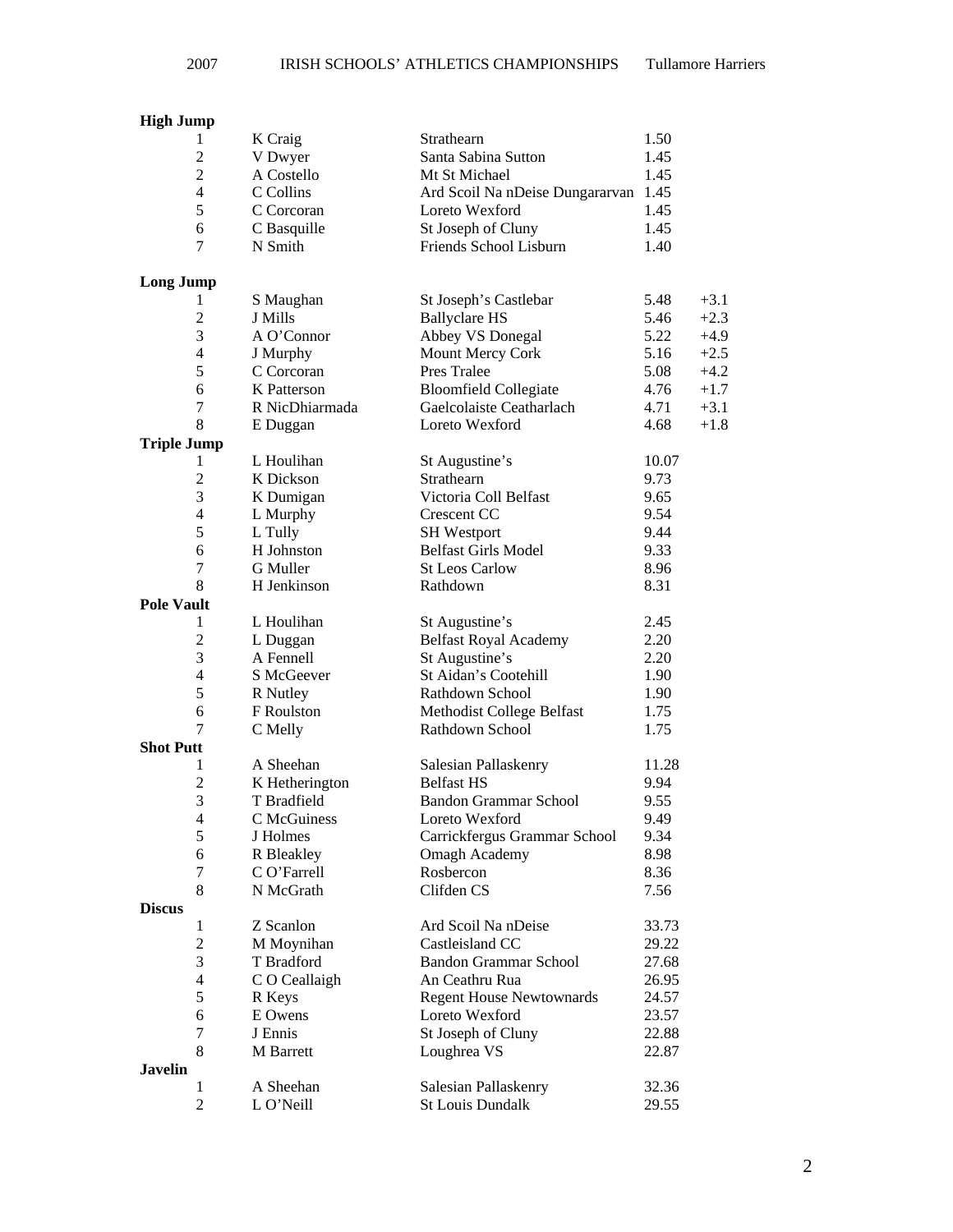## **High Jump**

|                    | 1                | K Craig        | Strathearn                           | 1.50  |        |
|--------------------|------------------|----------------|--------------------------------------|-------|--------|
|                    | $\overline{2}$   | V Dwyer        | Santa Sabina Sutton                  | 1.45  |        |
|                    | $\overline{2}$   | A Costello     | Mt St Michael                        | 1.45  |        |
|                    | 4                | C Collins      | Ard Scoil Na nDeise Dungararvan 1.45 |       |        |
|                    | 5                | C Corcoran     | Loreto Wexford                       | 1.45  |        |
|                    | 6                | C Basquille    | St Joseph of Cluny                   | 1.45  |        |
|                    | 7                | N Smith        | Friends School Lisburn               | 1.40  |        |
| <b>Long Jump</b>   |                  |                |                                      |       |        |
|                    | 1                | S Maughan      | St Joseph's Castlebar                | 5.48  | $+3.1$ |
|                    | $\overline{2}$   | J Mills        | <b>Ballyclare HS</b>                 | 5.46  | $+2.3$ |
|                    | 3                | A O'Connor     | Abbey VS Donegal                     | 5.22  | $+4.9$ |
|                    | $\overline{4}$   | J Murphy       | Mount Mercy Cork                     | 5.16  | $+2.5$ |
|                    | 5                | C Corcoran     | Pres Tralee                          | 5.08  | $+4.2$ |
|                    | 6                | K Patterson    | <b>Bloomfield Collegiate</b>         | 4.76  | $+1.7$ |
|                    | $\boldsymbol{7}$ | R NicDhiarmada | Gaelcolaiste Ceatharlach             | 4.71  | $+3.1$ |
|                    | 8                | E Duggan       | Loreto Wexford                       | 4.68  | $+1.8$ |
| <b>Triple Jump</b> |                  |                |                                      |       |        |
|                    | 1                | L Houlihan     | St Augustine's                       | 10.07 |        |
|                    | $\overline{2}$   | K Dickson      | Strathearn                           | 9.73  |        |
|                    | 3                | K Dumigan      | Victoria Coll Belfast                | 9.65  |        |
|                    | 4                | L Murphy       | Crescent CC                          | 9.54  |        |
|                    | 5                | L Tully        | <b>SH</b> Westport                   | 9.44  |        |
|                    | 6                | H Johnston     | <b>Belfast Girls Model</b>           | 9.33  |        |
|                    | 7                | G Muller       | <b>St Leos Carlow</b>                | 8.96  |        |
|                    | 8                | H Jenkinson    | Rathdown                             | 8.31  |        |
| <b>Pole Vault</b>  |                  |                |                                      |       |        |
|                    | 1                | L Houlihan     | St Augustine's                       | 2.45  |        |
|                    | $\overline{c}$   | L Duggan       | <b>Belfast Royal Academy</b>         | 2.20  |        |
|                    | 3                | A Fennell      | St Augustine's                       | 2.20  |        |
|                    | $\overline{4}$   | S McGeever     | St Aidan's Cootehill                 | 1.90  |        |
|                    | 5                | R Nutley       | Rathdown School                      | 1.90  |        |
|                    | 6                | F Roulston     | Methodist College Belfast            | 1.75  |        |
|                    | 7                | C Melly        | Rathdown School                      | 1.75  |        |
| <b>Shot Putt</b>   |                  |                |                                      |       |        |
|                    | 1                | A Sheehan      | Salesian Pallaskenry                 | 11.28 |        |
|                    | $\overline{2}$   | K Hetherington | <b>Belfast HS</b>                    | 9.94  |        |
|                    | 3                | T Bradfield    | <b>Bandon Grammar School</b>         | 9.55  |        |
|                    | $\overline{4}$   | C McGuiness    | Loreto Wexford                       | 9.49  |        |
|                    | 5                | J Holmes       | Carrickfergus Grammar School         | 9.34  |        |
|                    | 6                | R Bleakley     | <b>Omagh Academy</b>                 | 8.98  |        |
|                    | 7                | C O'Farrell    | Rosbercon                            | 8.36  |        |
|                    | 8                | N McGrath      | Clifden CS                           | 7.56  |        |
| <b>Discus</b>      |                  |                |                                      |       |        |
|                    | $\mathbf{1}$     | Z Scanlon      | Ard Scoil Na nDeise                  | 33.73 |        |
|                    | 2                | M Moynihan     | Castleisland CC                      | 29.22 |        |
|                    | 3                | T Bradford     | <b>Bandon Grammar School</b>         | 27.68 |        |
|                    | $\overline{4}$   | C O Ceallaigh  | An Ceathru Rua                       | 26.95 |        |
|                    | 5                | R Keys         | <b>Regent House Newtownards</b>      | 24.57 |        |
|                    | 6                | E Owens        | Loreto Wexford                       | 23.57 |        |
|                    | 7                | J Ennis        | St Joseph of Cluny                   | 22.88 |        |
|                    | 8                | M Barrett      | Loughrea VS                          | 22.87 |        |
| <b>Javelin</b>     |                  |                |                                      |       |        |
|                    | 1                | A Sheehan      | Salesian Pallaskenry                 | 32.36 |        |
|                    | $\overline{2}$   | L O'Neill      | <b>St Louis Dundalk</b>              | 29.55 |        |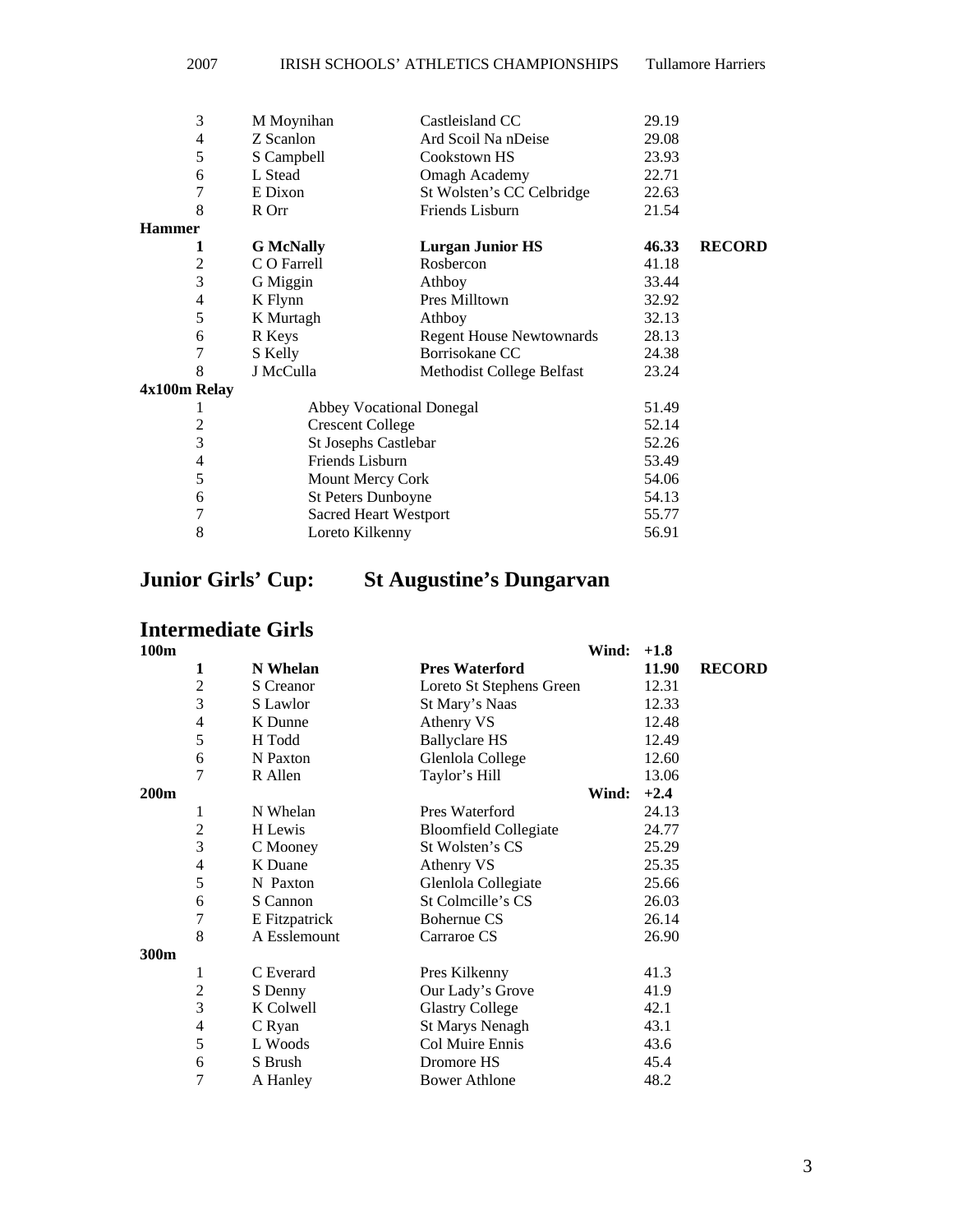| 3              | M Moynihan                   | Castleisland CC                 | 29.19 |               |
|----------------|------------------------------|---------------------------------|-------|---------------|
| 4              | Z Scanlon                    | Ard Scoil Na nDeise             | 29.08 |               |
| 5              | S Campbell                   | Cookstown HS                    | 23.93 |               |
| 6              | L Stead                      | <b>Omagh Academy</b>            | 22.71 |               |
| 7              | E Dixon                      | St Wolsten's CC Celbridge       | 22.63 |               |
| 8              | R Orr                        | Friends Lisburn                 | 21.54 |               |
| <b>Hammer</b>  |                              |                                 |       |               |
| 1              | <b>G</b> McNally             | <b>Lurgan Junior HS</b>         | 46.33 | <b>RECORD</b> |
| 2              | C O Farrell                  | Rosbercon                       | 41.18 |               |
| 3              | G Miggin                     | Athboy                          | 33.44 |               |
| 4              | K Flynn                      | Pres Milltown                   | 32.92 |               |
| 5              | K Murtagh                    | Athboy                          | 32.13 |               |
| 6              | R Keys                       | <b>Regent House Newtownards</b> | 28.13 |               |
| 7              | S Kelly                      | Borrisokane CC                  | 24.38 |               |
| 8              | J McCulla                    | Methodist College Belfast       | 23.24 |               |
| 4x100m Relay   |                              |                                 |       |               |
| 1              | Abbey Vocational Donegal     |                                 | 51.49 |               |
| $\overline{c}$ | <b>Crescent College</b>      |                                 | 52.14 |               |
| 3              | St Josephs Castlebar         |                                 | 52.26 |               |
| 4              | Friends Lisburn              |                                 | 53.49 |               |
| 5              | Mount Mercy Cork             |                                 | 54.06 |               |
| 6              | St Peters Dunboyne           |                                 | 54.13 |               |
| 7              | <b>Sacred Heart Westport</b> |                                 | 55.77 |               |
| 8              | Loreto Kilkenny              |                                 | 56.91 |               |

## **Junior Girls' Cup: St Augustine's Dungarvan**

# **Intermediate Girls**

| 100m |                |               |                              | Wind: | $+1.8$ |               |
|------|----------------|---------------|------------------------------|-------|--------|---------------|
|      | 1              | N Whelan      | <b>Pres Waterford</b>        |       | 11.90  | <b>RECORD</b> |
|      | $\overline{2}$ | S Creanor     | Loreto St Stephens Green     |       | 12.31  |               |
|      | 3              | S Lawlor      | St Mary's Naas               |       | 12.33  |               |
|      | $\overline{4}$ | K Dunne       | Athenry VS                   |       | 12.48  |               |
|      | 5              | H Todd        | <b>Ballyclare HS</b>         |       | 12.49  |               |
|      | 6              | N Paxton      | Glenlola College             |       | 12.60  |               |
|      | 7              | R Allen       | Taylor's Hill                |       | 13.06  |               |
| 200m |                |               |                              | Wind: | $+2.4$ |               |
|      | 1              | N Whelan      | Pres Waterford               |       | 24.13  |               |
|      | $\overline{c}$ | H Lewis       | <b>Bloomfield Collegiate</b> |       | 24.77  |               |
|      | 3              | C Mooney      | St Wolsten's CS              |       | 25.29  |               |
|      | 4              | K Duane       | Athenry VS                   |       | 25.35  |               |
|      | 5              | N Paxton      | Glenlola Collegiate          |       | 25.66  |               |
|      | 6              | S Cannon      | St Colmcille's CS            |       | 26.03  |               |
|      | 7              | E Fitzpatrick | <b>Bohernue CS</b>           |       | 26.14  |               |
|      | 8              | A Esslemount  | Carraroe CS                  |       | 26.90  |               |
| 300m |                |               |                              |       |        |               |
|      | 1              | C Everard     | Pres Kilkenny                |       | 41.3   |               |
|      | $\overline{c}$ | S Denny       | Our Lady's Grove             |       | 41.9   |               |
|      | 3              | K Colwell     | <b>Glastry College</b>       |       | 42.1   |               |
|      | 4              | C Ryan        | <b>St Marys Nenagh</b>       |       | 43.1   |               |
|      | 5              | L Woods       | Col Muire Ennis              |       | 43.6   |               |
|      | 6              | S Brush       | Dromore HS                   |       | 45.4   |               |
|      | 7              | A Hanley      | <b>Bower Athlone</b>         |       | 48.2   |               |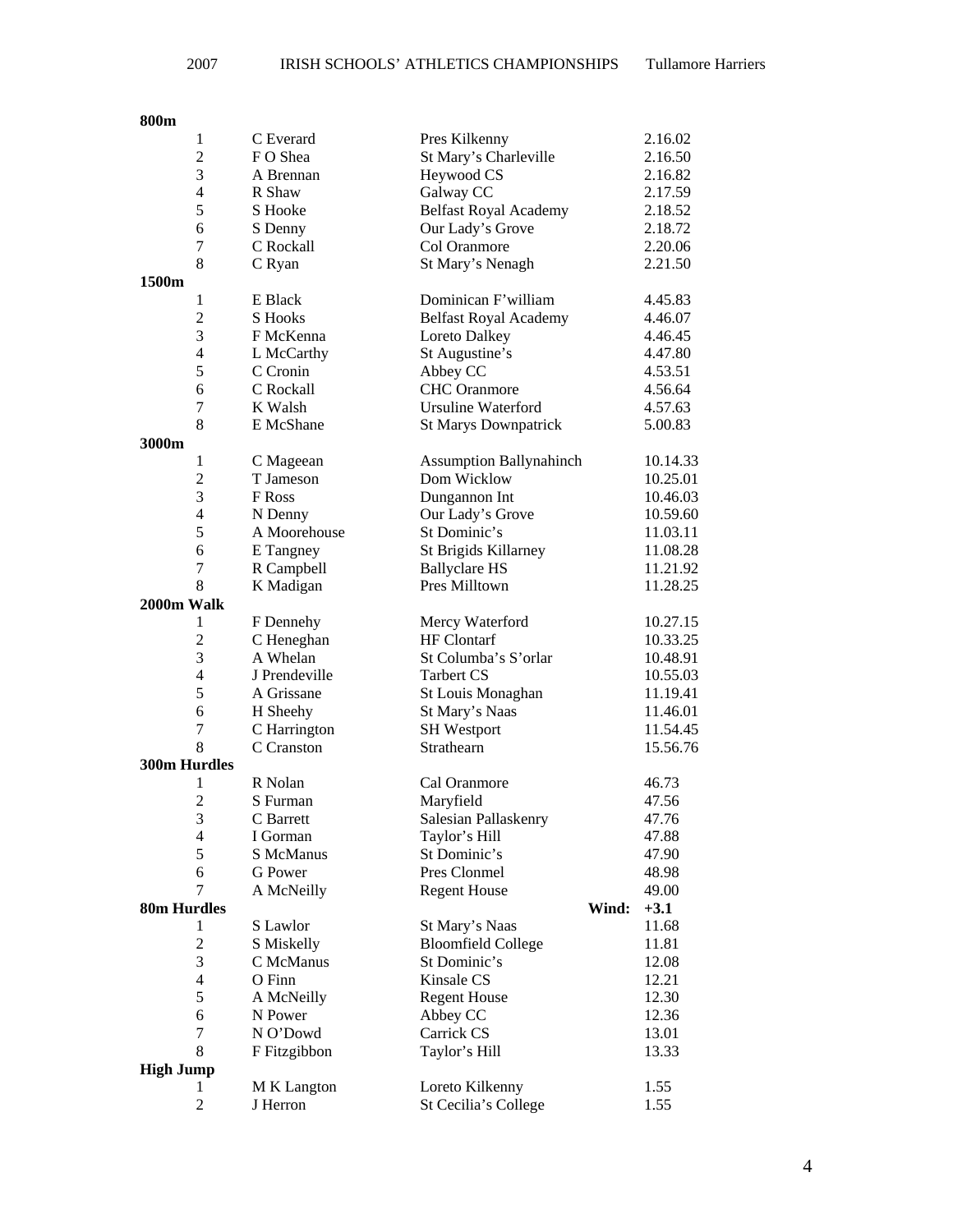### **800m**

| $\mathbf{1}$             | C Everard      | Pres Kilkenny                  | 2.16.02  |
|--------------------------|----------------|--------------------------------|----------|
| $\overline{2}$           | FO Shea        | St Mary's Charleville          | 2.16.50  |
| 3                        | A Brennan      | Heywood CS                     | 2.16.82  |
| $\overline{4}$           | R Shaw         | Galway CC                      | 2.17.59  |
| 5                        | S Hooke        | <b>Belfast Royal Academy</b>   | 2.18.52  |
| 6                        | S Denny        | Our Lady's Grove               | 2.18.72  |
| 7                        | C Rockall      | Col Oranmore                   | 2.20.06  |
| 8                        | C Ryan         | St Mary's Nenagh               | 2.21.50  |
| 1500m                    |                |                                |          |
| $\mathbf{1}$             | E Black        | Dominican F'william            | 4.45.83  |
| $\overline{2}$           | <b>S</b> Hooks | <b>Belfast Royal Academy</b>   | 4.46.07  |
| 3                        | F McKenna      | Loreto Dalkey                  | 4.46.45  |
| $\overline{\mathcal{L}}$ | L McCarthy     | St Augustine's                 | 4.47.80  |
| 5                        | C Cronin       | Abbey CC                       | 4.53.51  |
| 6                        | C Rockall      | <b>CHC</b> Oranmore            | 4.56.64  |
| $\boldsymbol{7}$         | K Walsh        | <b>Ursuline Waterford</b>      | 4.57.63  |
| 8                        | E McShane      | <b>St Marys Downpatrick</b>    | 5.00.83  |
| 3000m                    |                |                                |          |
| 1                        | C Mageean      | <b>Assumption Ballynahinch</b> | 10.14.33 |
| $\overline{2}$           | T Jameson      | Dom Wicklow                    | 10.25.01 |
| 3                        | F Ross         | Dungannon Int                  | 10.46.03 |
| 4                        | N Denny        | Our Lady's Grove               | 10.59.60 |
| 5                        | A Moorehouse   | St Dominic's                   | 11.03.11 |
| 6                        | E Tangney      | St Brigids Killarney           | 11.08.28 |
| 7                        | R Campbell     | <b>Ballyclare HS</b>           | 11.21.92 |
| 8                        | K Madigan      | Pres Milltown                  | 11.28.25 |
| 2000m Walk               |                |                                |          |
| 1                        | F Dennehy      | Mercy Waterford                | 10.27.15 |
| $\overline{c}$           | C Heneghan     | <b>HF</b> Clontarf             | 10.33.25 |
| 3                        | A Whelan       | St Columba's S'orlar           | 10.48.91 |
| 4                        | J Prendeville  | <b>Tarbert CS</b>              | 10.55.03 |
| 5                        | A Grissane     | St Louis Monaghan              | 11.19.41 |
| 6                        | H Sheehy       | St Mary's Naas                 | 11.46.01 |
| 7                        | C Harrington   | <b>SH</b> Westport             | 11.54.45 |
| 8                        | C Cranston     | Strathearn                     | 15.56.76 |
| 300m Hurdles             |                |                                |          |
| 1                        | R Nolan        | Cal Oranmore                   | 46.73    |
| $\overline{2}$           | S Furman       | Maryfield                      | 47.56    |
| 3                        | C Barrett      | Salesian Pallaskenry           | 47.76    |
| 4                        | I Gorman       | Taylor's Hill                  | 47.88    |
| 5                        | S McManus      | St Dominic's                   | 47.90    |
| 6                        | G Power        | Pres Clonmel                   | 48.98    |
| 7                        | A McNeilly     | <b>Regent House</b>            | 49.00    |
| 80m Hurdles              |                | Wind:                          | $+3.1$   |
| 1                        | S Lawlor       | St Mary's Naas                 | 11.68    |
| $\overline{c}$           | S Miskelly     | <b>Bloomfield College</b>      | 11.81    |
| 3                        | C McManus      | St Dominic's                   | 12.08    |
| $\overline{4}$           | O Finn         | Kinsale CS                     | 12.21    |
| 5                        | A McNeilly     | <b>Regent House</b>            | 12.30    |
| 6                        | N Power        | Abbey CC                       | 12.36    |
| 7                        | N O'Dowd       | Carrick CS                     | 13.01    |
| 8                        | F Fitzgibbon   | Taylor's Hill                  | 13.33    |
| <b>High Jump</b>         |                |                                |          |
| 1                        | M K Langton    | Loreto Kilkenny                | 1.55     |
| $\boldsymbol{2}$         | J Herron       | St Cecilia's College           | 1.55     |
|                          |                |                                |          |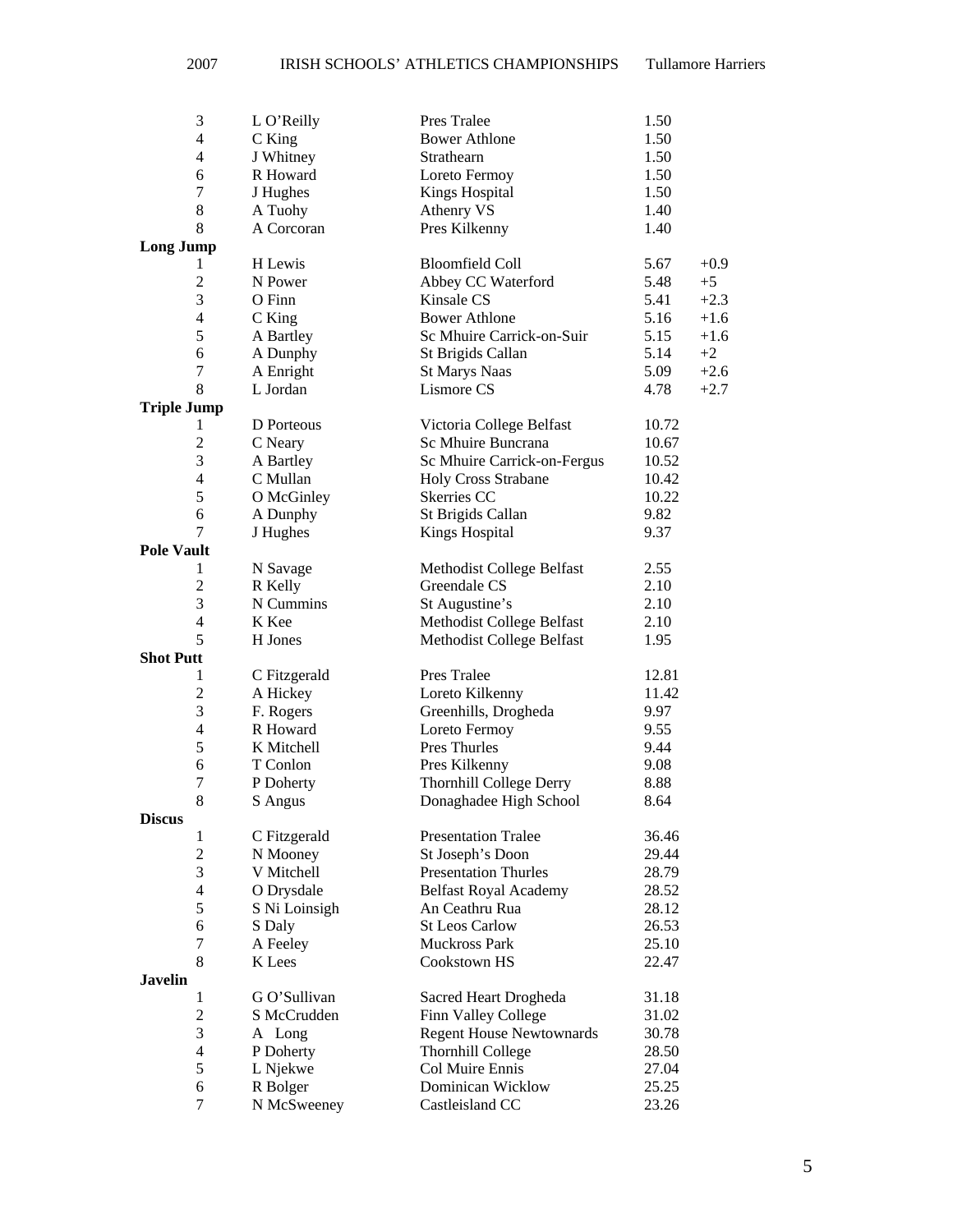| 3                        | L O'Reilly    | Pres Tralee                     | 1.50  |        |
|--------------------------|---------------|---------------------------------|-------|--------|
| 4                        | C King        | <b>Bower Athlone</b>            | 1.50  |        |
| $\overline{4}$           | J Whitney     | Strathearn                      | 1.50  |        |
| 6                        | R Howard      | Loreto Fermoy                   | 1.50  |        |
| $\tau$                   | J Hughes      | <b>Kings Hospital</b>           | 1.50  |        |
| 8                        | A Tuohy       | Athenry VS                      | 1.40  |        |
| 8                        | A Corcoran    | Pres Kilkenny                   | 1.40  |        |
| <b>Long Jump</b>         |               |                                 |       |        |
| 1                        | H Lewis       | <b>Bloomfield Coll</b>          | 5.67  | $+0.9$ |
| $\overline{c}$           | N Power       | Abbey CC Waterford              | 5.48  | $+5$   |
| 3                        | O Finn        | Kinsale CS                      | 5.41  | $+2.3$ |
| 4                        | C King        | <b>Bower Athlone</b>            | 5.16  | $+1.6$ |
| 5                        | A Bartley     | Sc Mhuire Carrick-on-Suir       | 5.15  | $+1.6$ |
| 6                        | A Dunphy      | St Brigids Callan               | 5.14  | $+2$   |
| 7                        | A Enright     | <b>St Marys Naas</b>            | 5.09  | $+2.6$ |
| 8                        | L Jordan      | Lismore CS                      | 4.78  | $+2.7$ |
| <b>Triple Jump</b>       |               |                                 |       |        |
| 1                        | D Porteous    | Victoria College Belfast        | 10.72 |        |
| $\overline{2}$           | C Neary       | Sc Mhuire Buncrana              | 10.67 |        |
| 3                        | A Bartley     | Sc Mhuire Carrick-on-Fergus     | 10.52 |        |
| $\overline{4}$           | C Mullan      | <b>Holy Cross Strabane</b>      | 10.42 |        |
| 5                        | O McGinley    | Skerries CC                     | 10.22 |        |
| 6                        | A Dunphy      | St Brigids Callan               | 9.82  |        |
| 7                        | J Hughes      | <b>Kings Hospital</b>           | 9.37  |        |
| <b>Pole Vault</b>        |               |                                 |       |        |
| 1                        | N Savage      | Methodist College Belfast       | 2.55  |        |
| $\overline{c}$           | R Kelly       | Greendale CS                    | 2.10  |        |
| 3                        | N Cummins     | St Augustine's                  | 2.10  |        |
| $\overline{4}$           | K Kee         | Methodist College Belfast       | 2.10  |        |
| 5                        | H Jones       | Methodist College Belfast       | 1.95  |        |
| <b>Shot Putt</b>         |               |                                 |       |        |
| 1                        | C Fitzgerald  | Pres Tralee                     | 12.81 |        |
| $\overline{c}$           | A Hickey      | Loreto Kilkenny                 | 11.42 |        |
| 3                        | F. Rogers     | Greenhills, Drogheda            | 9.97  |        |
| $\overline{\mathcal{L}}$ | R Howard      | Loreto Fermoy                   | 9.55  |        |
| 5                        | K Mitchell    | Pres Thurles                    | 9.44  |        |
| 6                        | T Conlon      | Pres Kilkenny                   | 9.08  |        |
| $\overline{7}$           | P Doherty     | <b>Thornhill College Derry</b>  | 8.88  |        |
| 8                        | S Angus       | Donaghadee High School          | 8.64  |        |
| <b>Discus</b>            |               |                                 |       |        |
| 1                        | C Fitzgerald  | <b>Presentation Tralee</b>      | 36.46 |        |
| $\overline{c}$           | N Mooney      | St Joseph's Doon                | 29.44 |        |
| 3                        | V Mitchell    | <b>Presentation Thurles</b>     | 28.79 |        |
| $\overline{\mathcal{L}}$ | O Drysdale    | <b>Belfast Royal Academy</b>    | 28.52 |        |
| 5                        | S Ni Loinsigh | An Ceathru Rua                  | 28.12 |        |
| 6                        | S Daly        | <b>St Leos Carlow</b>           | 26.53 |        |
| 7                        | A Feeley      | Muckross Park                   | 25.10 |        |
| 8                        | K Lees        | Cookstown HS                    | 22.47 |        |
| <b>Javelin</b>           |               |                                 |       |        |
| 1                        | G O'Sullivan  | Sacred Heart Drogheda           | 31.18 |        |
| $\overline{c}$           | S McCrudden   | Finn Valley College             | 31.02 |        |
| 3                        | A Long        | <b>Regent House Newtownards</b> | 30.78 |        |
| $\overline{4}$           | P Doherty     | Thornhill College               | 28.50 |        |
| 5                        | L Njekwe      | Col Muire Ennis                 | 27.04 |        |
| 6                        | R Bolger      | Dominican Wicklow               | 25.25 |        |
| $\tau$                   | N McSweeney   | Castleisland CC                 | 23.26 |        |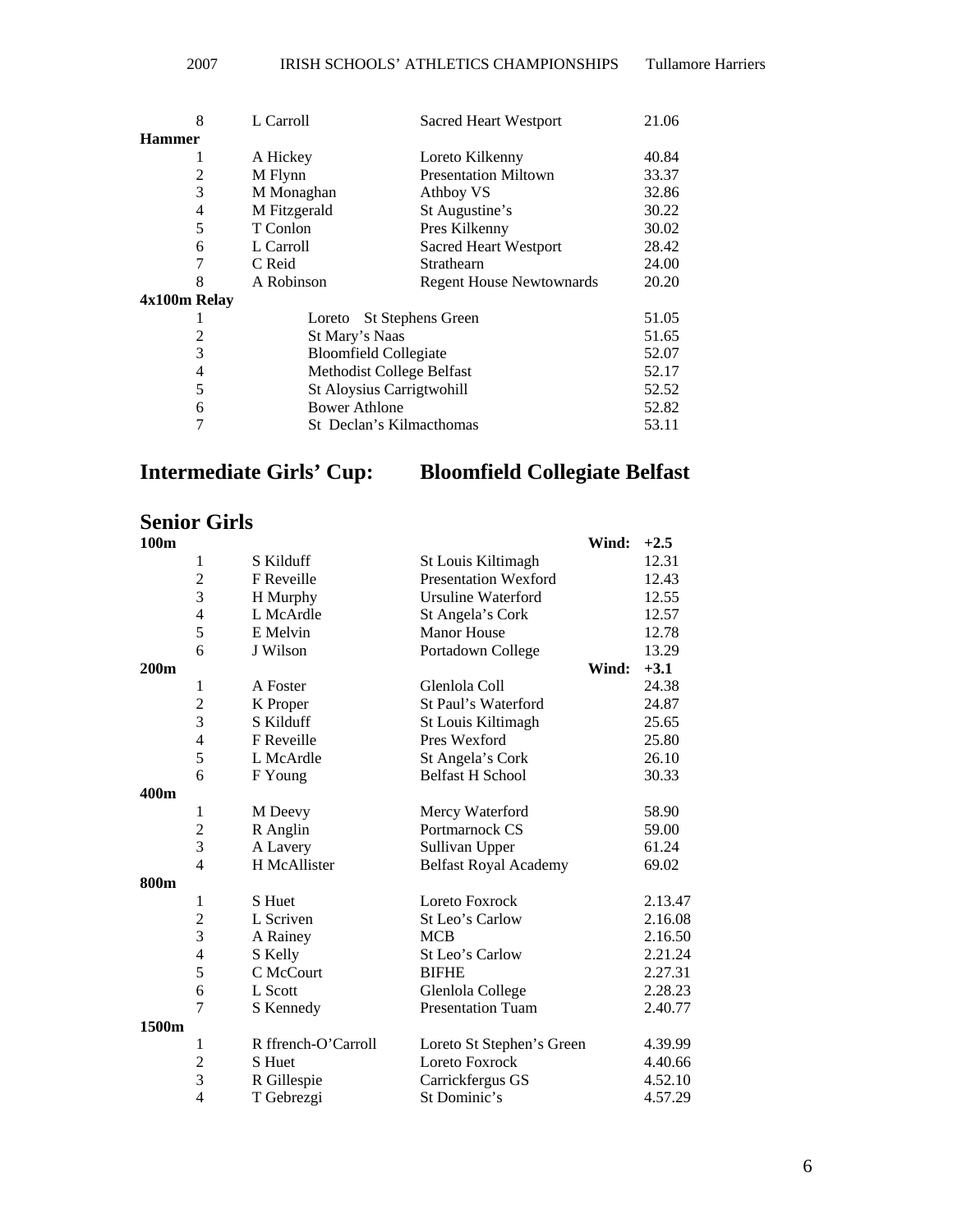| 8             | L Carroll                    | <b>Sacred Heart Westport</b>    | 21.06 |
|---------------|------------------------------|---------------------------------|-------|
| <b>Hammer</b> |                              |                                 |       |
| 1             | A Hickey                     | Loreto Kilkenny                 | 40.84 |
| 2             | M Flynn                      | <b>Presentation Miltown</b>     | 33.37 |
| 3             | M Monaghan                   | Athboy VS                       | 32.86 |
| 4             | M Fitzgerald                 | St Augustine's                  | 30.22 |
| 5             | T Conlon                     | Pres Kilkenny                   | 30.02 |
| 6             | L Carroll                    | Sacred Heart Westport           | 28.42 |
| 7             | C Reid                       | Strathearn                      | 24.00 |
| 8             | A Robinson                   | <b>Regent House Newtownards</b> | 20.20 |
| 4x100m Relay  |                              |                                 |       |
|               | Loreto                       | <b>St Stephens Green</b>        | 51.05 |
| 2             | St Mary's Naas               |                                 | 51.65 |
| 3             | <b>Bloomfield Collegiate</b> |                                 | 52.07 |
| 4             | Methodist College Belfast    |                                 | 52.17 |
| 5             | St Aloysius Carrigtwohill    |                                 | 52.52 |
| 6             | Bower Athlone                |                                 | 52.82 |
| 7             | St Declan's Kilmacthomas     |                                 | 53.11 |
|               |                              |                                 |       |

## **Intermediate Girls' Cup: Bloomfield Collegiate Belfast**

### **Senior Girls**

| 100m  |                          |                     |                              | Wind: | $+2.5$  |
|-------|--------------------------|---------------------|------------------------------|-------|---------|
|       | 1                        | S Kilduff           | St Louis Kiltimagh           |       | 12.31   |
|       | $\overline{c}$           | F Reveille          | <b>Presentation Wexford</b>  |       | 12.43   |
|       | 3                        | H Murphy            | <b>Ursuline Waterford</b>    |       | 12.55   |
|       | $\overline{4}$           | L McArdle           | St Angela's Cork             |       | 12.57   |
|       | 5                        | E Melvin            | <b>Manor</b> House           |       | 12.78   |
|       | 6                        | J Wilson            | Portadown College            |       | 13.29   |
| 200m  |                          |                     |                              | Wind: | $+3.1$  |
|       | 1                        | A Foster            | Glenlola Coll                |       | 24.38   |
|       | $\overline{c}$           | K Proper            | St Paul's Waterford          |       | 24.87   |
|       | 3                        | S Kilduff           | St Louis Kiltimagh           |       | 25.65   |
|       | $\overline{\mathcal{L}}$ | F Reveille          | Pres Wexford                 |       | 25.80   |
|       | 5                        | L McArdle           | St Angela's Cork             |       | 26.10   |
|       | 6                        | F Young             | <b>Belfast H School</b>      |       | 30.33   |
| 400m  |                          |                     |                              |       |         |
|       | 1                        | M Deevy             | Mercy Waterford              |       | 58.90   |
|       | $\overline{c}$           | R Anglin            | Portmarnock CS               |       | 59.00   |
|       | $\overline{3}$           | A Lavery            | Sullivan Upper               |       | 61.24   |
|       | $\overline{4}$           | H McAllister        | <b>Belfast Royal Academy</b> |       | 69.02   |
| 800m  |                          |                     |                              |       |         |
|       | 1                        | S Huet              | Loreto Foxrock               |       | 2.13.47 |
|       | $\overline{2}$           | L Scriven           | St Leo's Carlow              |       | 2.16.08 |
|       | 3                        | A Rainey            | <b>MCB</b>                   |       | 2.16.50 |
|       | $\overline{\mathcal{L}}$ | S Kelly             | St Leo's Carlow              |       | 2.21.24 |
|       | 5                        | C McCourt           | <b>BIFHE</b>                 |       | 2.27.31 |
|       | 6                        | L Scott             | Glenlola College             |       | 2.28.23 |
|       | $\overline{7}$           | S Kennedy           | <b>Presentation Tuam</b>     |       | 2.40.77 |
| 1500m |                          |                     |                              |       |         |
|       | 1                        | R ffrench-O'Carroll | Loreto St Stephen's Green    |       | 4.39.99 |
|       | $\overline{c}$           | S Huet              | Loreto Foxrock               |       | 4.40.66 |
|       | 3                        | R Gillespie         | Carrickfergus GS             |       | 4.52.10 |
|       | $\overline{4}$           | T Gebrezgi          | St Dominic's                 |       | 4.57.29 |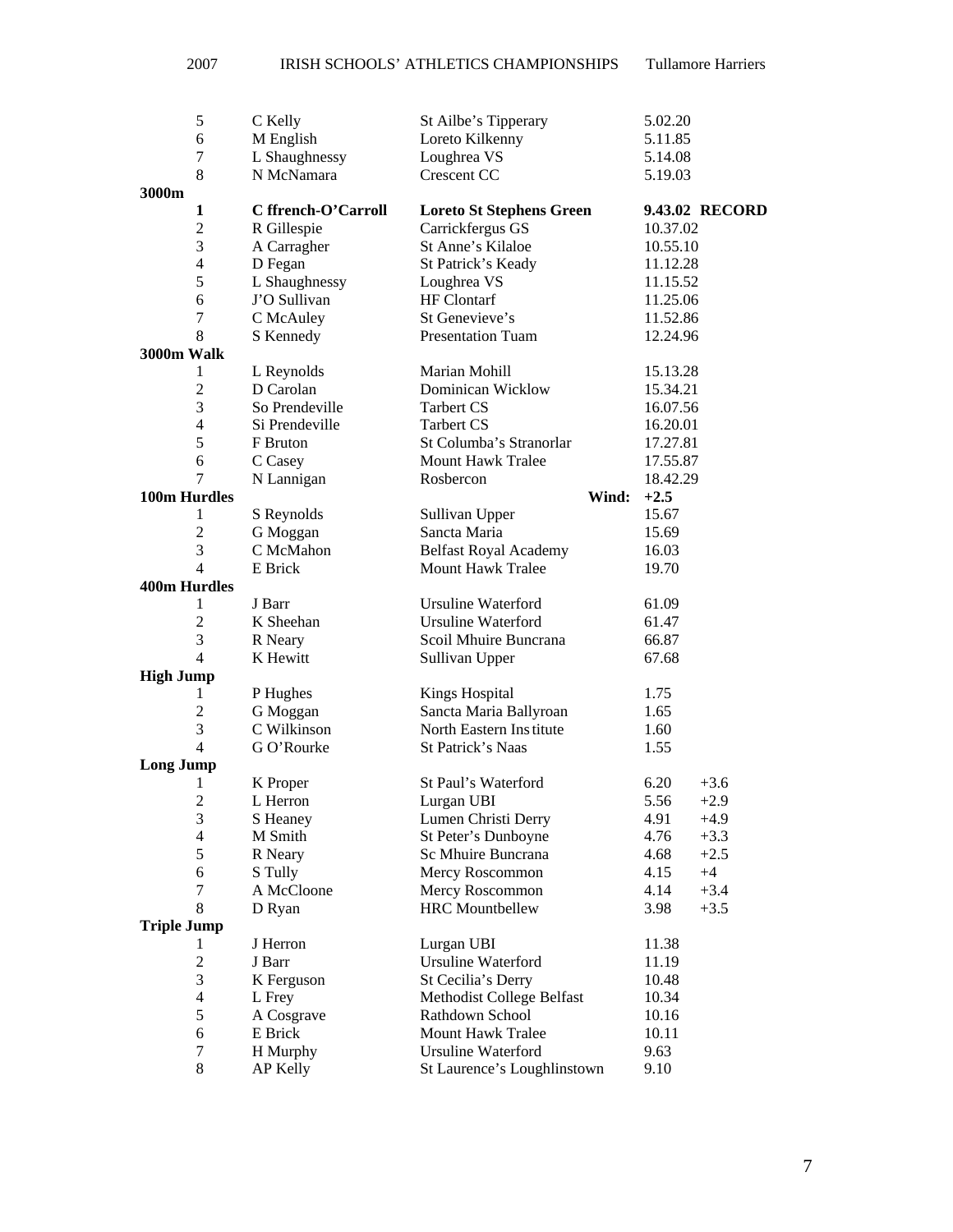| 5                        | C Kelly             | St Ailbe's Tipperary            | 5.02.20        |
|--------------------------|---------------------|---------------------------------|----------------|
| 6                        | M English           | Loreto Kilkenny                 | 5.11.85        |
| 7                        | L Shaughnessy       | Loughrea VS                     | 5.14.08        |
| 8                        | N McNamara          | Crescent CC                     | 5.19.03        |
| 3000m                    |                     |                                 |                |
| 1                        | C ffrench-O'Carroll | <b>Loreto St Stephens Green</b> | 9.43.02 RECORD |
| $\overline{2}$           | R Gillespie         | Carrickfergus GS                | 10.37.02       |
| 3                        | A Carragher         | St Anne's Kilaloe               | 10.55.10       |
| $\overline{\mathcal{L}}$ | D Fegan             | St Patrick's Keady              | 11.12.28       |
| 5                        | L Shaughnessy       | Loughrea VS                     | 11.15.52       |
| 6                        | J'O Sullivan        | <b>HF</b> Clontarf              | 11.25.06       |
| $\boldsymbol{7}$         | C McAuley           | St Genevieve's                  | 11.52.86       |
| 8                        | S Kennedy           | <b>Presentation Tuam</b>        | 12.24.96       |
| 3000m Walk               |                     |                                 |                |
| $\mathbf{1}$             | L Reynolds          | Marian Mohill                   | 15.13.28       |
| $\overline{2}$           | D Carolan           | <b>Dominican Wicklow</b>        | 15.34.21       |
| 3                        | So Prendeville      | <b>Tarbert CS</b>               | 16.07.56       |
| 4                        | Si Prendeville      | <b>Tarbert CS</b>               | 16.20.01       |
| 5                        | F Bruton            | St Columba's Stranorlar         | 17.27.81       |
| 6                        | C Casey             | <b>Mount Hawk Tralee</b>        | 17.55.87       |
| 7                        | N Lannigan          | Rosbercon                       | 18.42.29       |
|                          |                     |                                 |                |
| 100m Hurdles             |                     | Wind:                           | $+2.5$         |
| 1                        | S Reynolds          | Sullivan Upper                  | 15.67          |
| $\overline{c}$           | G Moggan            | Sancta Maria                    | 15.69          |
| 3<br>$\overline{4}$      | C McMahon           | <b>Belfast Royal Academy</b>    | 16.03          |
|                          | E Brick             | <b>Mount Hawk Tralee</b>        | 19.70          |
| <b>400m Hurdles</b>      |                     |                                 |                |
| $\mathbf{1}$             | J Barr              | Ursuline Waterford              | 61.09          |
| $\overline{c}$           | K Sheehan           | <b>Ursuline Waterford</b>       | 61.47          |
| 3                        | R Neary             | Scoil Mhuire Buncrana           | 66.87          |
| 4                        | K Hewitt            | Sullivan Upper                  | 67.68          |
| <b>High Jump</b>         |                     |                                 |                |
| 1                        | P Hughes            | <b>Kings Hospital</b>           | 1.75           |
| $\overline{2}$           | G Moggan            | Sancta Maria Ballyroan          | 1.65           |
| 3                        | C Wilkinson         | North Eastern Institute         | 1.60           |
| $\overline{4}$           | G O'Rourke          | St Patrick's Naas               | 1.55           |
| <b>Long Jump</b>         |                     |                                 |                |
| $\mathbf{1}$             | K Proper            | St Paul's Waterford             | 6.20<br>$+3.6$ |
| $\overline{2}$           | L Herron            | Lurgan UBI                      | 5.56<br>$+2.9$ |
| 3                        | S Heaney            | Lumen Christi Derry             | 4.91<br>$+4.9$ |
| 4                        | M Smith             | St Peter's Dunboyne             | 4.76<br>$+3.3$ |
| 5                        | R Neary             | Sc Mhuire Buncrana              | 4.68<br>$+2.5$ |
| 6                        | S Tully             | Mercy Roscommon                 | 4.15<br>$+4$   |
| 7                        | A McCloone          | Mercy Roscommon                 | 4.14<br>$+3.4$ |
| 8                        | D Ryan              | <b>HRC</b> Mountbellew          | 3.98<br>$+3.5$ |
| <b>Triple Jump</b>       |                     |                                 |                |
| 1                        | J Herron            | Lurgan UBI                      | 11.38          |
| $\overline{2}$           | J Barr              | <b>Ursuline Waterford</b>       | 11.19          |
| 3                        | K Ferguson          | St Cecilia's Derry              | 10.48          |
| $\overline{4}$           | L Frey              | Methodist College Belfast       | 10.34          |
| 5                        | A Cosgrave          | Rathdown School                 | 10.16          |
| 6                        | E Brick             | <b>Mount Hawk Tralee</b>        | 10.11          |
| 7                        | H Murphy            | Ursuline Waterford              | 9.63           |
| 8                        | AP Kelly            | St Laurence's Loughlinstown     | 9.10           |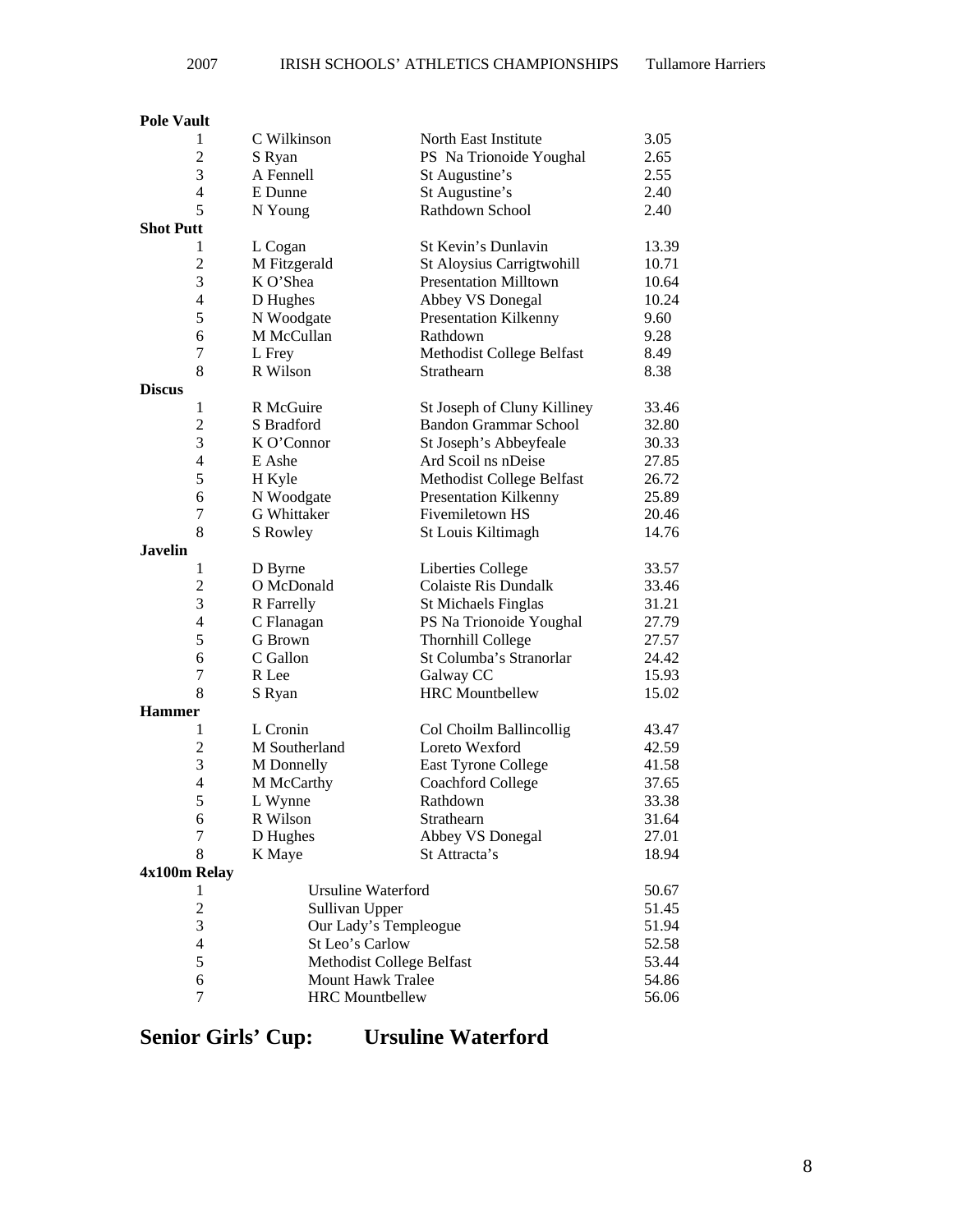### 2007 IRISH SCHOOLS' ATHLETICS CHAMPIONSHIPS Tullamore Harriers

# **Pole Vault**

|                  | $\mathbf{1}$     | C Wilkinson               | North East Institute         | 3.05  |
|------------------|------------------|---------------------------|------------------------------|-------|
|                  | $\overline{c}$   | S Ryan                    | PS Na Trionoide Youghal      | 2.65  |
|                  | 3                | A Fennell                 | St Augustine's               | 2.55  |
|                  | $\overline{4}$   | E Dunne                   | St Augustine's               | 2.40  |
|                  | 5                | N Young                   | Rathdown School              | 2.40  |
| <b>Shot Putt</b> |                  |                           |                              |       |
|                  | 1                | L Cogan                   | St Kevin's Dunlavin          | 13.39 |
|                  | $\overline{2}$   | M Fitzgerald              | St Aloysius Carrigtwohill    | 10.71 |
|                  | 3                | K O'Shea                  | <b>Presentation Milltown</b> | 10.64 |
|                  | $\overline{4}$   | D Hughes                  | Abbey VS Donegal             | 10.24 |
|                  | 5                | N Woodgate                | <b>Presentation Kilkenny</b> | 9.60  |
|                  | 6                | M McCullan                | Rathdown                     | 9.28  |
|                  | 7                | L Frey                    | Methodist College Belfast    | 8.49  |
|                  | 8                | R Wilson                  | Strathearn                   | 8.38  |
| <b>Discus</b>    |                  |                           |                              |       |
|                  | 1                | R McGuire                 | St Joseph of Cluny Killiney  | 33.46 |
|                  | $\overline{2}$   | S Bradford                | <b>Bandon Grammar School</b> | 32.80 |
|                  | 3                | K O'Connor                | St Joseph's Abbeyfeale       | 30.33 |
|                  | $\overline{4}$   | E Ashe                    | Ard Scoil ns nDeise          | 27.85 |
|                  | 5                | H Kyle                    | Methodist College Belfast    | 26.72 |
|                  | 6                | N Woodgate                | <b>Presentation Kilkenny</b> | 25.89 |
|                  | 7                | G Whittaker               | Fivemiletown HS              | 20.46 |
|                  | 8                | S Rowley                  | St Louis Kiltimagh           | 14.76 |
| Javelin          |                  |                           |                              |       |
|                  | $\mathbf{1}$     | D Byrne                   | Liberties College            | 33.57 |
|                  | $\overline{c}$   | O McDonald                | <b>Colaiste Ris Dundalk</b>  | 33.46 |
|                  | 3                | R Farrelly                | <b>St Michaels Finglas</b>   | 31.21 |
|                  | $\overline{4}$   | C Flanagan                | PS Na Trionoide Youghal      | 27.79 |
|                  | 5                | G Brown                   | <b>Thornhill College</b>     | 27.57 |
|                  | 6                | C Gallon                  | St Columba's Stranorlar      | 24.42 |
|                  | 7                | R Lee                     | Galway CC                    | 15.93 |
|                  | 8                | S Ryan                    | <b>HRC</b> Mountbellew       | 15.02 |
| <b>Hammer</b>    |                  |                           |                              |       |
|                  | $\mathbf{1}$     | L Cronin                  | Col Choilm Ballincollig      | 43.47 |
|                  | $\overline{2}$   | M Southerland             | Loreto Wexford               | 42.59 |
|                  | 3                | M Donnelly                | East Tyrone College          | 41.58 |
|                  | $\overline{4}$   | M McCarthy                | <b>Coachford College</b>     | 37.65 |
|                  | 5                | L Wynne                   | Rathdown                     | 33.38 |
|                  | 6                | R Wilson                  | Strathearn                   | 31.64 |
|                  | $\boldsymbol{7}$ | D Hughes                  | Abbey VS Donegal             | 27.01 |
|                  | 8                | K Maye                    | St Attracta's                | 18.94 |
| 4x100m Relay     |                  |                           |                              |       |
|                  | 1                | <b>Ursuline Waterford</b> |                              | 50.67 |
|                  | $\overline{c}$   | Sullivan Upper            |                              | 51.45 |
|                  | 3                | Our Lady's Templeogue     |                              | 51.94 |
|                  | $\overline{4}$   | St Leo's Carlow           |                              | 52.58 |
|                  | 5                | Methodist College Belfast |                              | 53.44 |
|                  | 6                | <b>Mount Hawk Tralee</b>  |                              | 54.86 |
|                  | $\tau$           | <b>HRC</b> Mountbellew    |                              | 56.06 |
|                  |                  |                           |                              |       |

**Senior Girls' Cup: Ursuline Waterford**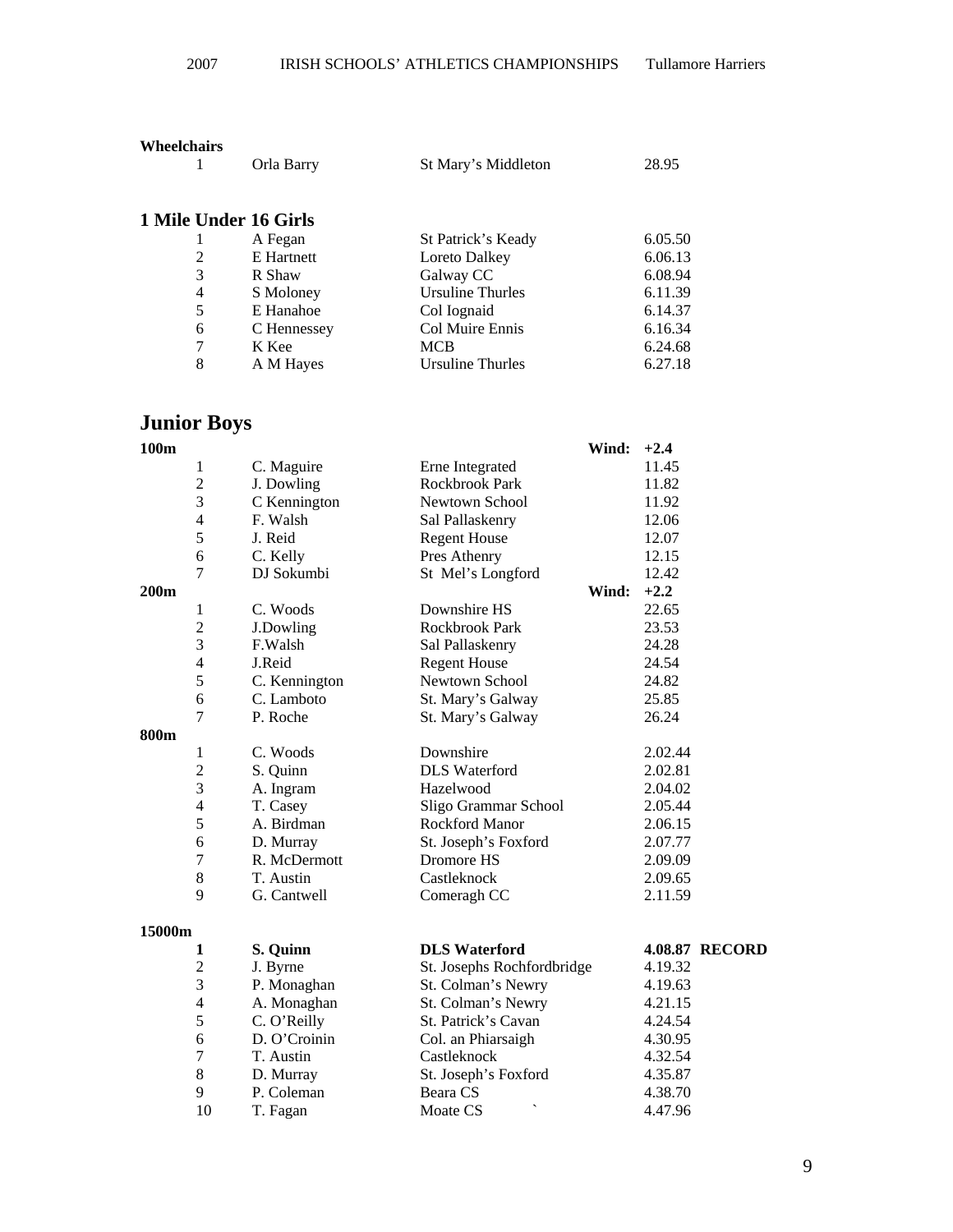|   | Orla Barry            | St Mary's Middleton     | 28.95   |
|---|-----------------------|-------------------------|---------|
|   | 1 Mile Under 16 Girls |                         |         |
|   | A Fegan               | St Patrick's Keady      | 6.05.50 |
| 2 | E Hartnett            | Loreto Dalkey           | 6.06.13 |
| 3 | R Shaw                | Galway CC               | 6.08.94 |
| 4 | S Moloney             | <b>Ursuline Thurles</b> | 6.11.39 |
| 5 | E Hanahoe             | Col Iognaid             | 6.14.37 |
| 6 | C Hennessey           | Col Muire Ennis         | 6.16.34 |

7 K Kee MCB 6.24.68

8 A M Hayes Ursuline Thurles 6.27.18

**Wheelchairs** 

## **Junior Boys**

| 100m   |                         |               | Wind:                                | $+2.4$                |
|--------|-------------------------|---------------|--------------------------------------|-----------------------|
|        | 1                       | C. Maguire    | Erne Integrated                      | 11.45                 |
|        | $\overline{c}$          | J. Dowling    | Rockbrook Park                       | 11.82                 |
|        | 3                       | C Kennington  | Newtown School                       | 11.92                 |
|        | $\overline{\mathbf{4}}$ | F. Walsh      | Sal Pallaskenry                      | 12.06                 |
|        | 5                       | J. Reid       | <b>Regent House</b>                  | 12.07                 |
|        | 6                       | C. Kelly      | Pres Athenry                         | 12.15                 |
|        | $\overline{7}$          | DJ Sokumbi    | St Mel's Longford                    | 12.42                 |
| 200m   |                         |               | Wind:                                | $+2.2$                |
|        | $\mathbf{1}$            | C. Woods      | Downshire HS                         | 22.65                 |
|        | $\overline{2}$          | J.Dowling     | Rockbrook Park                       | 23.53                 |
|        | 3                       | F.Walsh       | Sal Pallaskenry                      | 24.28                 |
|        | $\overline{\mathbf{4}}$ | J.Reid        | <b>Regent House</b>                  | 24.54                 |
|        | 5                       | C. Kennington | Newtown School                       | 24.82                 |
|        | 6                       | C. Lamboto    | St. Mary's Galway                    | 25.85                 |
|        | $\overline{7}$          | P. Roche      | St. Mary's Galway                    | 26.24                 |
| 800m   |                         |               |                                      |                       |
|        | $\mathbf{1}$            | C. Woods      | Downshire                            | 2.02.44               |
|        | $\frac{2}{3}$           | S. Quinn      | <b>DLS</b> Waterford                 | 2.02.81               |
|        |                         | A. Ingram     | Hazelwood                            | 2.04.02               |
|        | $\overline{4}$          | T. Casey      | Sligo Grammar School                 | 2.05.44               |
|        | 5                       | A. Birdman    | <b>Rockford Manor</b>                | 2.06.15               |
|        | 6                       | D. Murray     | St. Joseph's Foxford                 | 2.07.77               |
|        | $\overline{7}$          | R. McDermott  | Dromore HS                           | 2.09.09               |
|        | $8\,$                   | T. Austin     | Castleknock                          | 2.09.65               |
|        | 9                       | G. Cantwell   | Comeragh CC                          | 2.11.59               |
| 15000m |                         |               |                                      |                       |
|        | 1                       | S. Quinn      | <b>DLS</b> Waterford                 | <b>4.08.87 RECORD</b> |
|        | $\overline{c}$          | J. Byrne      | St. Josephs Rochfordbridge           | 4.19.32               |
|        | $\overline{3}$          | P. Monaghan   | St. Colman's Newry                   | 4.19.63               |
|        | $\overline{\mathbf{4}}$ | A. Monaghan   | St. Colman's Newry                   | 4.21.15               |
|        | 5                       | C. O'Reilly   | St. Patrick's Cavan                  | 4.24.54               |
|        | 6                       | D. O'Croinin  | Col. an Phiarsaigh                   | 4.30.95               |
|        | $\boldsymbol{7}$        | T. Austin     | Castleknock                          | 4.32.54               |
|        | $8\,$                   | D. Murray     | St. Joseph's Foxford                 | 4.35.87               |
|        | 9                       | P. Coleman    | Beara CS                             | 4.38.70               |
|        | 10                      | T. Fagan      | $\overline{\phantom{0}}$<br>Moate CS | 4.47.96               |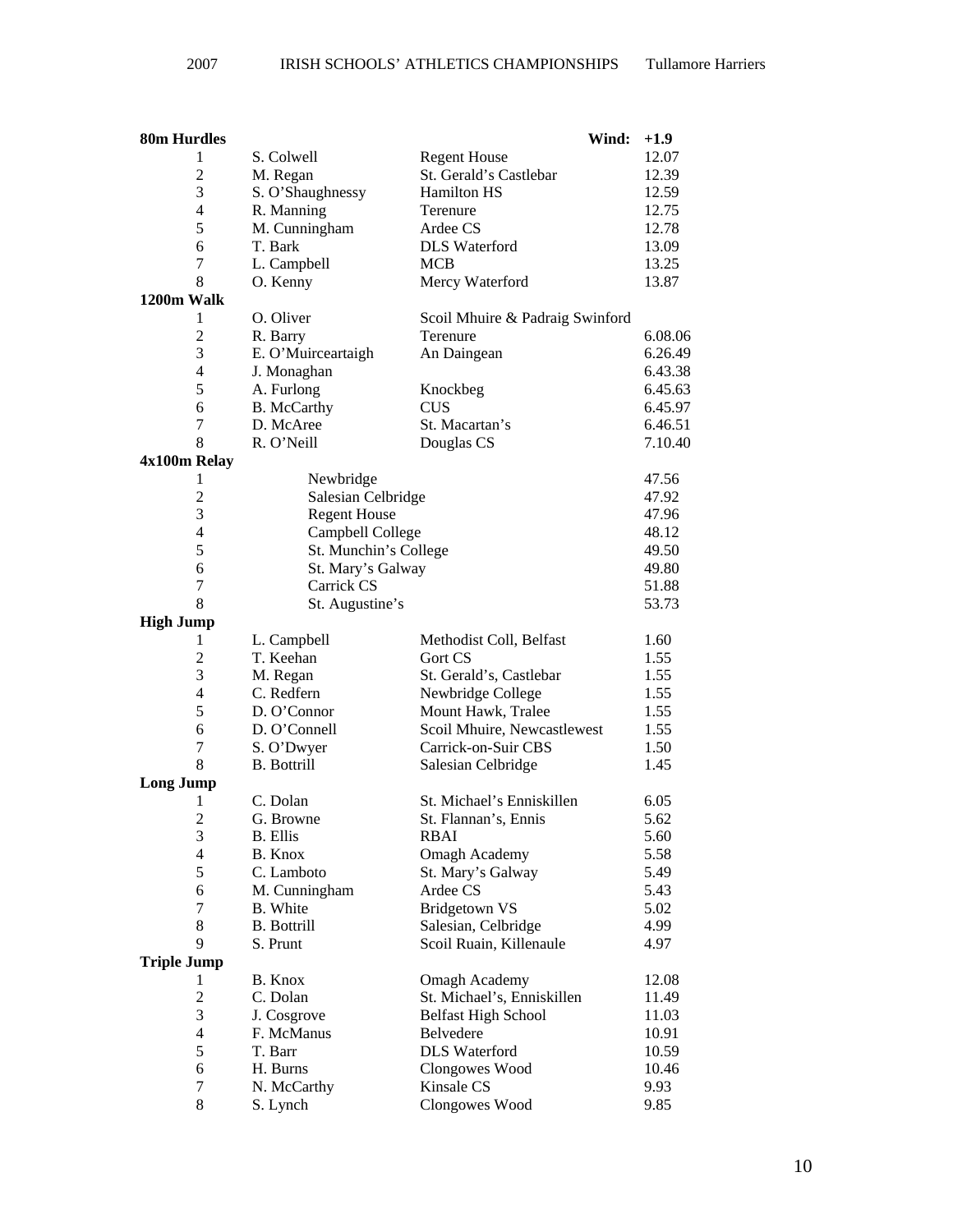| 80m Hurdles             |                           | Wind:                                                    | $+1.9$         |
|-------------------------|---------------------------|----------------------------------------------------------|----------------|
| 1                       | S. Colwell                | <b>Regent House</b>                                      | 12.07          |
| $\overline{c}$          | M. Regan                  | St. Gerald's Castlebar                                   | 12.39          |
| 3                       | S. O'Shaughnessy          | <b>Hamilton HS</b>                                       | 12.59          |
| $\overline{\mathbf{4}}$ | R. Manning                | Terenure                                                 | 12.75          |
| 5                       | M. Cunningham             | Ardee CS                                                 | 12.78          |
| 6                       | T. Bark                   | <b>DLS</b> Waterford                                     | 13.09          |
| 7                       | L. Campbell               | <b>MCB</b>                                               | 13.25          |
| 8                       | O. Kenny                  | Mercy Waterford                                          | 13.87          |
| 1200m Walk              |                           |                                                          |                |
| 1                       | O. Oliver                 | Scoil Mhuire & Padraig Swinford                          |                |
| 2                       | R. Barry                  | Terenure                                                 | 6.08.06        |
| 3                       | E. O'Muirceartaigh        | An Daingean                                              | 6.26.49        |
| 4                       | J. Monaghan               |                                                          | 6.43.38        |
| 5                       | A. Furlong                | Knockbeg                                                 | 6.45.63        |
| 6                       | <b>B.</b> McCarthy        | <b>CUS</b>                                               | 6.45.97        |
| 7                       | D. McAree                 | St. Macartan's                                           | 6.46.51        |
| 8                       | R. O'Neill                | Douglas CS                                               | 7.10.40        |
| 4x100m Relay            |                           |                                                          |                |
| 1                       | Newbridge                 |                                                          | 47.56          |
| $\overline{c}$          | Salesian Celbridge        |                                                          | 47.92          |
| 3                       | <b>Regent House</b>       |                                                          | 47.96          |
| 4                       | Campbell College          |                                                          | 48.12          |
| 5                       | St. Munchin's College     |                                                          | 49.50          |
| 6                       | St. Mary's Galway         |                                                          | 49.80          |
| 7                       | Carrick CS                |                                                          | 51.88          |
| 8                       | St. Augustine's           |                                                          | 53.73          |
| <b>High Jump</b>        |                           |                                                          |                |
| 1                       | L. Campbell               | Methodist Coll, Belfast                                  | 1.60           |
| $\overline{c}$          | T. Keehan                 | Gort CS                                                  | 1.55           |
| 3                       | M. Regan                  | St. Gerald's, Castlebar                                  | 1.55           |
| $\overline{4}$          | C. Redfern                | Newbridge College                                        | 1.55           |
| 5                       | D. O'Connor               | Mount Hawk, Tralee                                       | 1.55           |
| 6                       | D. O'Connell              | Scoil Mhuire, Newcastlewest                              | 1.55           |
| 7                       | S. O'Dwyer                | Carrick-on-Suir CBS                                      | 1.50           |
| 8                       | <b>B.</b> Bottrill        | Salesian Celbridge                                       | 1.45           |
| <b>Long Jump</b>        |                           |                                                          |                |
| 1                       | C. Dolan                  | St. Michael's Enniskillen                                | 6.05           |
| $\overline{2}$          | G. Browne                 | St. Flannan's, Ennis                                     | 5.62           |
| 3                       | <b>B.</b> Ellis           | <b>RBAI</b>                                              | 5.60           |
| $\overline{4}$          | B. Knox                   | <b>Omagh Academy</b>                                     | 5.58           |
| 5                       | C. Lamboto                | St. Mary's Galway                                        | 5.49           |
| 6                       | M. Cunningham             | Ardee CS                                                 | 5.43           |
| 7                       | <b>B.</b> White           | <b>Bridgetown VS</b>                                     | 5.02           |
| 8                       | <b>B.</b> Bottrill        | Salesian, Celbridge                                      | 4.99           |
| 9                       | S. Prunt                  | Scoil Ruain, Killenaule                                  | 4.97           |
| <b>Triple Jump</b><br>1 | B. Knox                   |                                                          | 12.08          |
|                         |                           | <b>Omagh Academy</b>                                     |                |
| $\overline{c}$<br>3     | C. Dolan                  | St. Michael's, Enniskillen<br><b>Belfast High School</b> | 11.49          |
| 4                       | J. Cosgrove<br>F. McManus | Belvedere                                                | 11.03<br>10.91 |
| 5                       | T. Barr                   | <b>DLS</b> Waterford                                     | 10.59          |
| 6                       | H. Burns                  | Clongowes Wood                                           | 10.46          |
| 7                       | N. McCarthy               | Kinsale CS                                               | 9.93           |
| 8                       | S. Lynch                  | Clongowes Wood                                           | 9.85           |
|                         |                           |                                                          |                |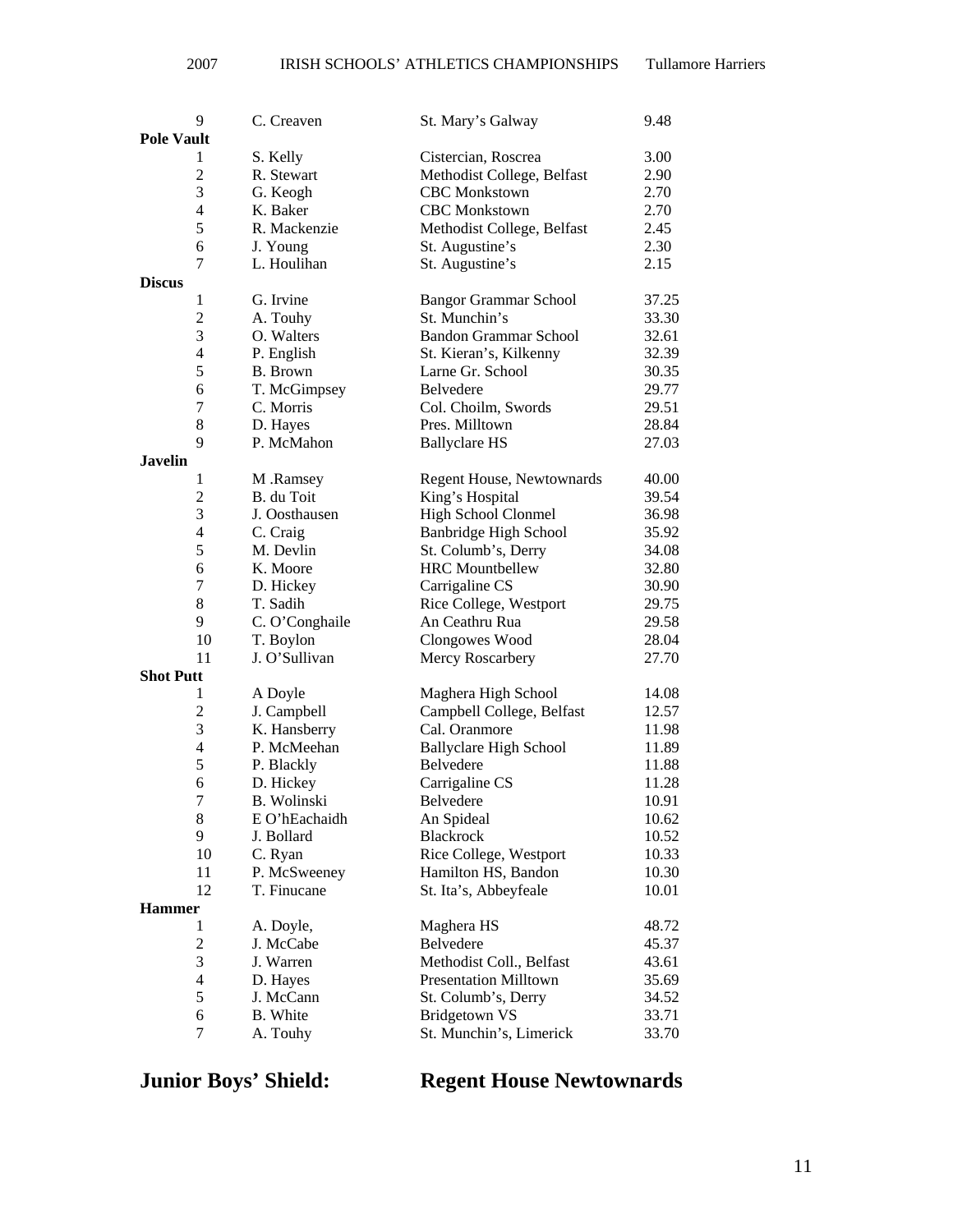### 2007 IRISH SCHOOLS' ATHLETICS CHAMPIONSHIPS Tullamore Harriers

|                   | 9                       | C. Creaven              | St. Mary's Galway                                 | 9.48  |
|-------------------|-------------------------|-------------------------|---------------------------------------------------|-------|
| <b>Pole Vault</b> |                         |                         |                                                   |       |
|                   | 1                       | S. Kelly                | Cistercian, Roscrea                               | 3.00  |
|                   | $\overline{2}$          | R. Stewart              | Methodist College, Belfast                        | 2.90  |
|                   | 3                       | G. Keogh                | <b>CBC</b> Monkstown                              | 2.70  |
|                   | $\overline{4}$          | K. Baker                | <b>CBC</b> Monkstown                              | 2.70  |
|                   | 5                       | R. Mackenzie            | Methodist College, Belfast                        | 2.45  |
|                   | 6                       | J. Young                | St. Augustine's                                   | 2.30  |
|                   | 7                       | L. Houlihan             | St. Augustine's                                   | 2.15  |
| <b>Discus</b>     |                         |                         |                                                   |       |
|                   | 1                       | G. Irvine               | <b>Bangor Grammar School</b>                      | 37.25 |
|                   | $\overline{c}$          | A. Touhy                | St. Munchin's                                     | 33.30 |
|                   | 3                       | O. Walters              | <b>Bandon Grammar School</b>                      | 32.61 |
|                   | $\overline{4}$          | P. English              | St. Kieran's, Kilkenny                            | 32.39 |
|                   | 5                       | B. Brown                | Larne Gr. School                                  | 30.35 |
|                   | 6                       | T. McGimpsey            | Belvedere                                         | 29.77 |
|                   | 7                       | C. Morris               | Col. Choilm, Swords                               | 29.51 |
|                   | 8                       |                         | Pres. Milltown                                    | 28.84 |
|                   | 9                       | D. Hayes<br>P. McMahon  |                                                   |       |
| <b>Javelin</b>    |                         |                         | <b>Ballyclare HS</b>                              | 27.03 |
|                   |                         |                         |                                                   |       |
|                   | 1<br>$\overline{2}$     | M .Ramsey<br>B. du Toit | Regent House, Newtownards                         | 40.00 |
|                   | 3                       | J. Oosthausen           | King's Hospital                                   | 39.54 |
|                   |                         |                         | High School Clonmel                               | 36.98 |
|                   | $\overline{4}$<br>5     | C. Craig<br>M. Devlin   | <b>Banbridge High School</b>                      | 35.92 |
|                   | 6                       |                         | St. Columb's, Derry<br><b>HRC</b> Mountbellew     | 34.08 |
|                   |                         | K. Moore                |                                                   | 32.80 |
|                   | 7                       | D. Hickey               | Carrigaline CS                                    | 30.90 |
|                   | 8                       | T. Sadih                | Rice College, Westport                            | 29.75 |
|                   | 9                       | C. O'Conghaile          | An Ceathru Rua                                    | 29.58 |
|                   | 10                      | T. Boylon               | Clongowes Wood                                    | 28.04 |
|                   | 11                      | J. O'Sullivan           | Mercy Roscarbery                                  | 27.70 |
| <b>Shot Putt</b>  |                         |                         |                                                   |       |
|                   | 1                       | A Doyle                 | Maghera High School                               | 14.08 |
|                   | 2<br>3                  | J. Campbell             | Campbell College, Belfast                         | 12.57 |
|                   |                         | K. Hansberry            | Cal. Oranmore                                     | 11.98 |
|                   | $\overline{4}$<br>5     | P. McMeehan             | <b>Ballyclare High School</b><br><b>Belvedere</b> | 11.89 |
|                   |                         | P. Blackly              |                                                   | 11.88 |
|                   | 6                       | D. Hickey               | Carrigaline CS                                    | 11.28 |
|                   | 7<br>8                  | B. Wolinski             | Belvedere                                         | 10.91 |
|                   | 9                       | E O'hEachaidh           | An Spideal<br><b>Blackrock</b>                    | 10.62 |
|                   |                         | J. Bollard              |                                                   | 10.52 |
|                   | 10                      | C. Ryan                 | Rice College, Westport                            | 10.33 |
|                   | 11                      | P. McSweeney            | Hamilton HS, Bandon                               | 10.30 |
|                   | 12                      | T. Finucane             | St. Ita's, Abbeyfeale                             | 10.01 |
| <b>Hammer</b>     |                         |                         |                                                   |       |
|                   | 1                       | A. Doyle,               | Maghera HS                                        | 48.72 |
|                   | $\boldsymbol{2}$        | J. McCabe               | Belvedere                                         | 45.37 |
|                   | 3                       | J. Warren               | Methodist Coll., Belfast                          | 43.61 |
|                   | $\overline{\mathbf{4}}$ | D. Hayes                | <b>Presentation Milltown</b>                      | 35.69 |
|                   | 5                       | J. McCann               | St. Columb's, Derry                               | 34.52 |
|                   | 6                       | <b>B.</b> White         | <b>Bridgetown VS</b>                              | 33.71 |
|                   | 7                       | A. Touhy                | St. Munchin's, Limerick                           | 33.70 |

## **Junior Boys' Shield: Regent House Newtownards**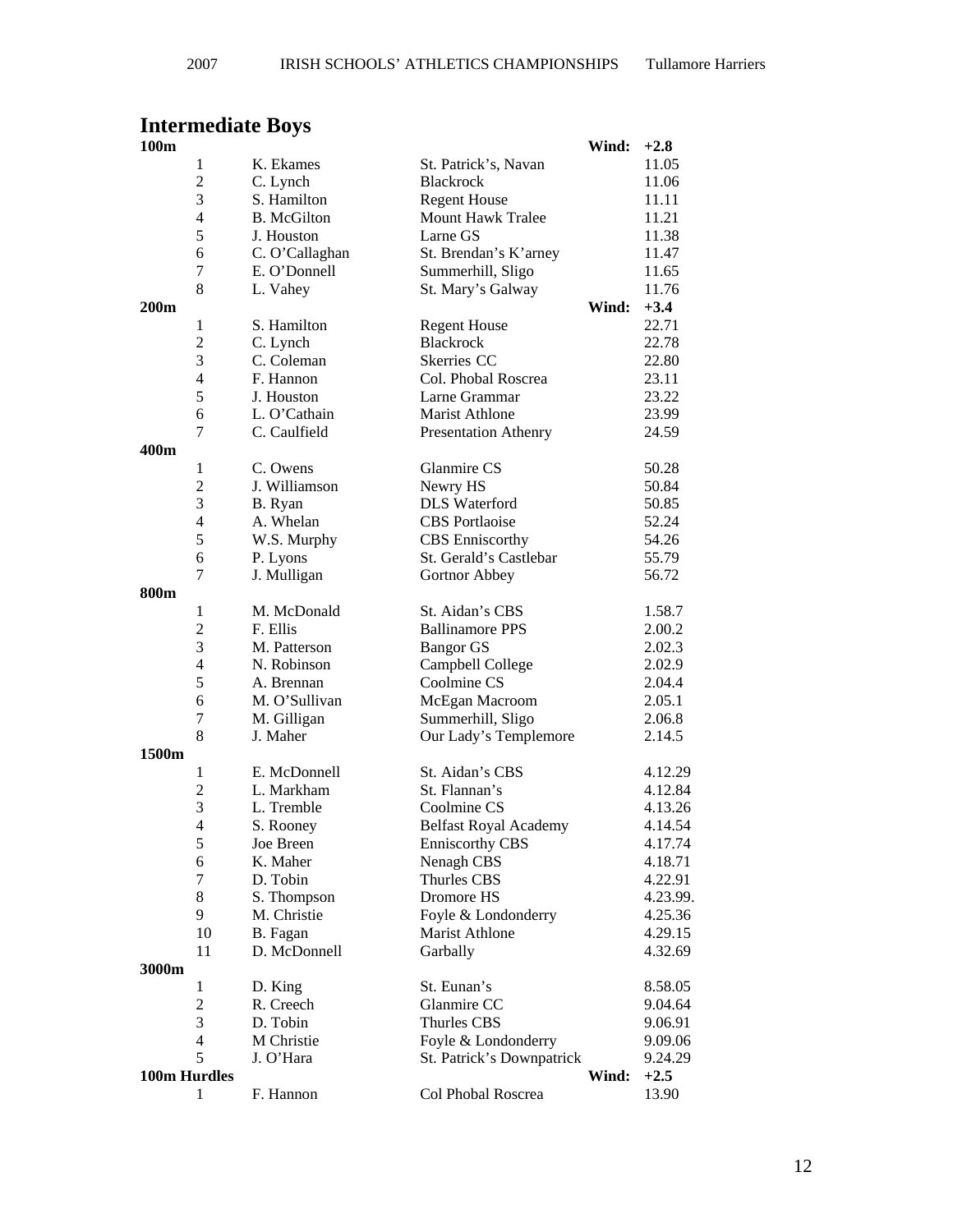## **Intermediate Boys**

| 100m         |                          |                    |                              | Wind: | $+2.8$   |
|--------------|--------------------------|--------------------|------------------------------|-------|----------|
|              | $\mathbf{1}$             | K. Ekames          | St. Patrick's, Navan         |       | 11.05    |
|              | $\overline{c}$           | C. Lynch           | <b>Blackrock</b>             |       | 11.06    |
|              | 3                        | S. Hamilton        | <b>Regent House</b>          |       | 11.11    |
|              | 4                        | <b>B.</b> McGilton | <b>Mount Hawk Tralee</b>     |       | 11.21    |
|              | 5                        | J. Houston         | Larne GS                     |       | 11.38    |
|              | 6                        | C. O'Callaghan     | St. Brendan's K'arney        |       | 11.47    |
|              | 7                        | E. O'Donnell       | Summerhill, Sligo            |       | 11.65    |
|              | 8                        | L. Vahey           | St. Mary's Galway            |       | 11.76    |
| 200m         |                          |                    |                              | Wind: | $+3.4$   |
|              | $\mathbf{1}$             | S. Hamilton        | <b>Regent House</b>          |       | 22.71    |
|              | $\overline{c}$           | C. Lynch           | <b>Blackrock</b>             |       | 22.78    |
|              | 3                        | C. Coleman         | Skerries CC                  |       | 22.80    |
|              | $\overline{\mathcal{L}}$ | F. Hannon          | Col. Phobal Roscrea          |       | 23.11    |
|              | 5                        | J. Houston         | Larne Grammar                |       | 23.22    |
|              | 6                        | L. O'Cathain       | <b>Marist Athlone</b>        |       | 23.99    |
|              | 7                        | C. Caulfield       | <b>Presentation Athenry</b>  |       | 24.59    |
| 400m         |                          |                    |                              |       |          |
|              | 1                        | C. Owens           | Glanmire CS                  |       | 50.28    |
|              | $\overline{c}$           | J. Williamson      | Newry HS                     |       | 50.84    |
|              | 3                        | B. Ryan            | <b>DLS</b> Waterford         |       | 50.85    |
|              | $\overline{4}$           | A. Whelan          | <b>CBS</b> Portlaoise        |       | 52.24    |
|              | 5                        | W.S. Murphy        | <b>CBS</b> Enniscorthy       |       | 54.26    |
|              | 6                        | P. Lyons           | St. Gerald's Castlebar       |       | 55.79    |
|              | 7                        | J. Mulligan        | Gortnor Abbey                |       | 56.72    |
| 800m         |                          |                    |                              |       |          |
|              | $\mathbf{1}$             | M. McDonald        | St. Aidan's CBS              |       | 1.58.7   |
|              | $\overline{c}$           | F. Ellis           | <b>Ballinamore PPS</b>       |       | 2.00.2   |
|              | 3                        | M. Patterson       | <b>Bangor GS</b>             |       | 2.02.3   |
|              | $\overline{4}$           | N. Robinson        | Campbell College             |       | 2.02.9   |
|              | 5                        | A. Brennan         | Coolmine CS                  |       | 2.04.4   |
|              | 6                        | M. O'Sullivan      | McEgan Macroom               |       | 2.05.1   |
|              | 7                        | M. Gilligan        | Summerhill, Sligo            |       | 2.06.8   |
|              | 8                        | J. Maher           | Our Lady's Templemore        |       | 2.14.5   |
| 1500m        |                          |                    |                              |       |          |
|              | $\mathbf{1}$             | E. McDonnell       | St. Aidan's CBS              |       | 4.12.29  |
|              | $\overline{c}$           | L. Markham         | St. Flannan's                |       | 4.12.84  |
|              | 3                        | L. Tremble         | Coolmine CS                  |       | 4.13.26  |
|              | $\overline{4}$           | S. Rooney          | <b>Belfast Royal Academy</b> |       | 4.14.54  |
|              | 5                        | Joe Breen          | Enniscorthy CBS              |       | 4.17.74  |
|              | 6                        | K. Maher           | Nenagh CBS                   |       | 4.18.71  |
|              | 7                        | D. Tobin           | Thurles CBS                  |       | 4.22.91  |
|              | 8                        | S. Thompson        | Dromore HS                   |       | 4.23.99. |
|              | 9                        | M. Christie        | Foyle & Londonderry          |       | 4.25.36  |
|              | 10                       | B. Fagan           | Marist Athlone               |       | 4.29.15  |
|              | 11                       | D. McDonnell       | Garbally                     |       | 4.32.69  |
| 3000m        |                          |                    |                              |       |          |
|              | $\mathbf{1}$             | D. King            | St. Eunan's                  |       | 8.58.05  |
|              | $\overline{c}$           | R. Creech          | Glanmire CC                  |       | 9.04.64  |
|              | 3                        | D. Tobin           | Thurles CBS                  |       | 9.06.91  |
|              | $\overline{\mathcal{L}}$ | M Christie         | Foyle & Londonderry          |       | 9.09.06  |
|              | 5                        | J. O'Hara          | St. Patrick's Downpatrick    |       | 9.24.29  |
| 100m Hurdles |                          |                    |                              | Wind: | $+2.5$   |
|              | 1                        | F. Hannon          | Col Phobal Roscrea           |       | 13.90    |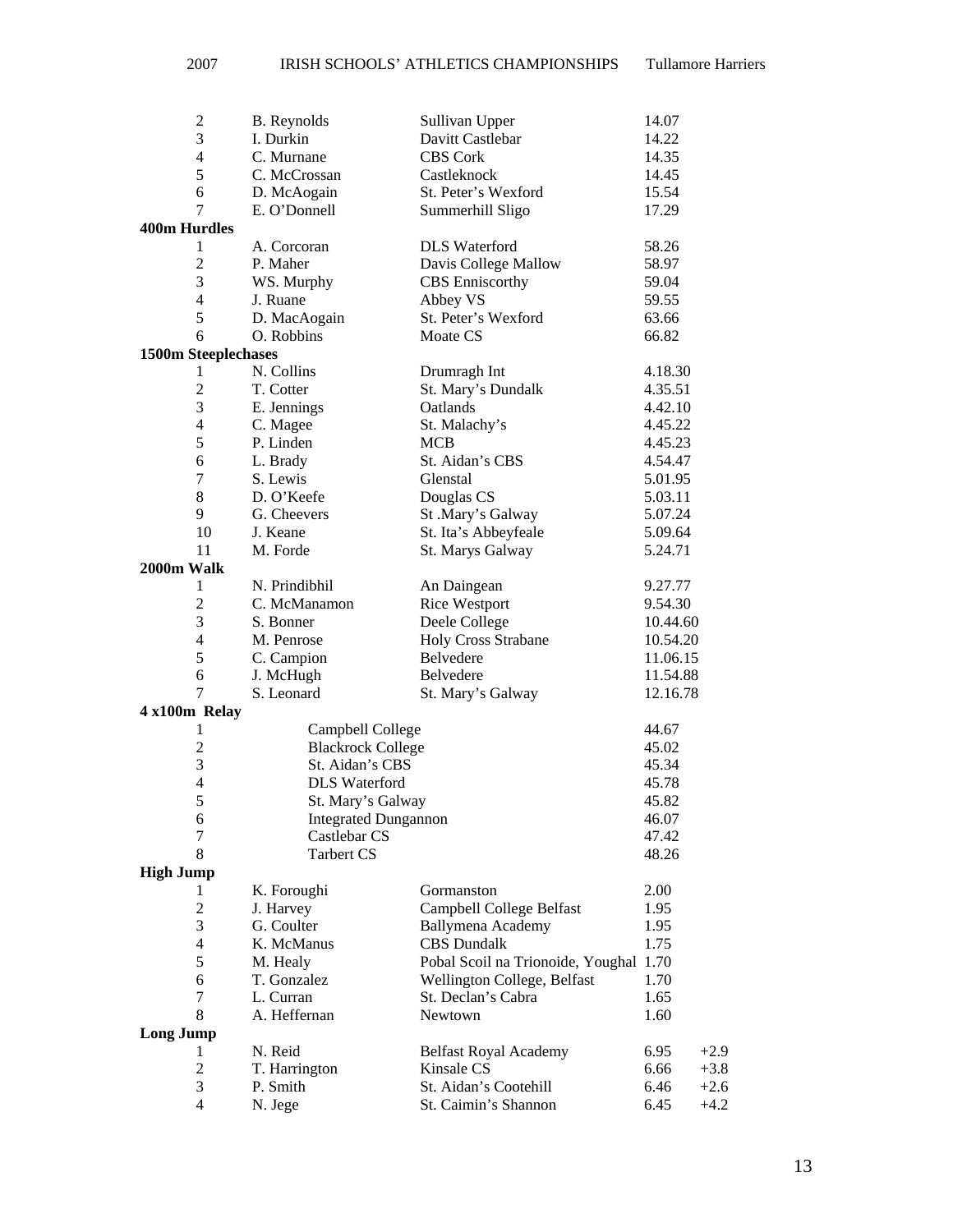| $\overline{c}$           | <b>B.</b> Reynolds          | Sullivan Upper                         | 14.07    |        |
|--------------------------|-----------------------------|----------------------------------------|----------|--------|
| $\overline{3}$           | I. Durkin                   | Davitt Castlebar                       | 14.22    |        |
| $\overline{\mathbf{4}}$  | C. Murnane                  | <b>CBS Cork</b>                        | 14.35    |        |
| 5                        | C. McCrossan                | Castleknock                            | 14.45    |        |
| 6                        | D. McAogain                 | St. Peter's Wexford                    | 15.54    |        |
| 7                        | E. O'Donnell                | Summerhill Sligo                       | 17.29    |        |
| <b>400m Hurdles</b>      |                             |                                        |          |        |
| 1                        | A. Corcoran                 | <b>DLS</b> Waterford                   | 58.26    |        |
| $\overline{2}$           | P. Maher                    | Davis College Mallow                   | 58.97    |        |
| 3                        | WS. Murphy                  | <b>CBS</b> Enniscorthy                 | 59.04    |        |
| $\overline{4}$           | J. Ruane                    | Abbey VS                               | 59.55    |        |
| 5                        | D. MacAogain                | St. Peter's Wexford                    | 63.66    |        |
| 6                        | O. Robbins                  | Moate CS                               | 66.82    |        |
| 1500m Steeplechases      |                             |                                        |          |        |
| 1                        | N. Collins                  | Drumragh Int                           | 4.18.30  |        |
| $\overline{c}$           | T. Cotter                   | St. Mary's Dundalk                     | 4.35.51  |        |
| 3                        | E. Jennings                 | Oatlands                               | 4.42.10  |        |
| $\overline{\mathcal{L}}$ | C. Magee                    | St. Malachy's                          | 4.45.22  |        |
| 5                        | P. Linden                   | <b>MCB</b>                             | 4.45.23  |        |
| 6                        | L. Brady                    | St. Aidan's CBS                        | 4.54.47  |        |
| 7                        | S. Lewis                    | Glenstal                               | 5.01.95  |        |
| 8                        | D. O'Keefe                  | Douglas CS                             | 5.03.11  |        |
| 9                        | G. Cheevers                 | St .Mary's Galway                      | 5.07.24  |        |
| 10                       | J. Keane                    | St. Ita's Abbeyfeale                   | 5.09.64  |        |
| 11                       | M. Forde                    | St. Marys Galway                       | 5.24.71  |        |
| 2000m Walk               |                             |                                        |          |        |
| $\mathbf{1}$             | N. Prindibhil               |                                        | 9.27.77  |        |
| $\overline{c}$           | C. McManamon                | An Daingean<br><b>Rice Westport</b>    | 9.54.30  |        |
| 3                        | S. Bonner                   | Deele College                          | 10.44.60 |        |
| $\overline{\mathcal{L}}$ | M. Penrose                  | Holy Cross Strabane                    | 10.54.20 |        |
| 5                        | C. Campion                  | Belvedere                              | 11.06.15 |        |
| 6                        | J. McHugh                   | Belvedere                              | 11.54.88 |        |
| 7                        | S. Leonard                  |                                        |          |        |
|                          |                             | St. Mary's Galway                      | 12.16.78 |        |
| 4 x100m Relay            |                             |                                        |          |        |
| 1                        | Campbell College            |                                        | 44.67    |        |
| $\overline{c}$           | <b>Blackrock College</b>    |                                        | 45.02    |        |
| 3                        | St. Aidan's CBS             |                                        | 45.34    |        |
| $\overline{4}$           | <b>DLS</b> Waterford        |                                        | 45.78    |        |
| 5                        | St. Mary's Galway           |                                        | 45.82    |        |
| 6                        | <b>Integrated Dungannon</b> |                                        | 46.07    |        |
| 7                        | Castlebar CS                |                                        | 47.42    |        |
| 8                        | <b>Tarbert CS</b>           |                                        | 48.26    |        |
| <b>High Jump</b>         |                             |                                        |          |        |
| 1                        | K. Foroughi                 | Gormanston                             | 2.00     |        |
| $\overline{2}$           | J. Harvey                   | Campbell College Belfast               | 1.95     |        |
| 3                        | G. Coulter                  | Ballymena Academy                      | 1.95     |        |
| $\overline{4}$           | K. McManus                  | <b>CBS</b> Dundalk                     | 1.75     |        |
| 5                        | M. Healy                    | Pobal Scoil na Trionoide, Youghal 1.70 |          |        |
| 6                        | T. Gonzalez                 | Wellington College, Belfast            | 1.70     |        |
| $\tau$                   | L. Curran                   | St. Declan's Cabra                     | 1.65     |        |
| 8                        | A. Heffernan                | Newtown                                | 1.60     |        |
| <b>Long Jump</b>         |                             |                                        |          |        |
| 1                        | N. Reid                     | <b>Belfast Royal Academy</b>           | 6.95     | $+2.9$ |
| $\overline{2}$           | T. Harrington               | Kinsale CS                             | 6.66     | $+3.8$ |
| 3                        | P. Smith                    | St. Aidan's Cootehill                  | 6.46     | $+2.6$ |
| 4                        | N. Jege                     | St. Caimin's Shannon                   | 6.45     | $+4.2$ |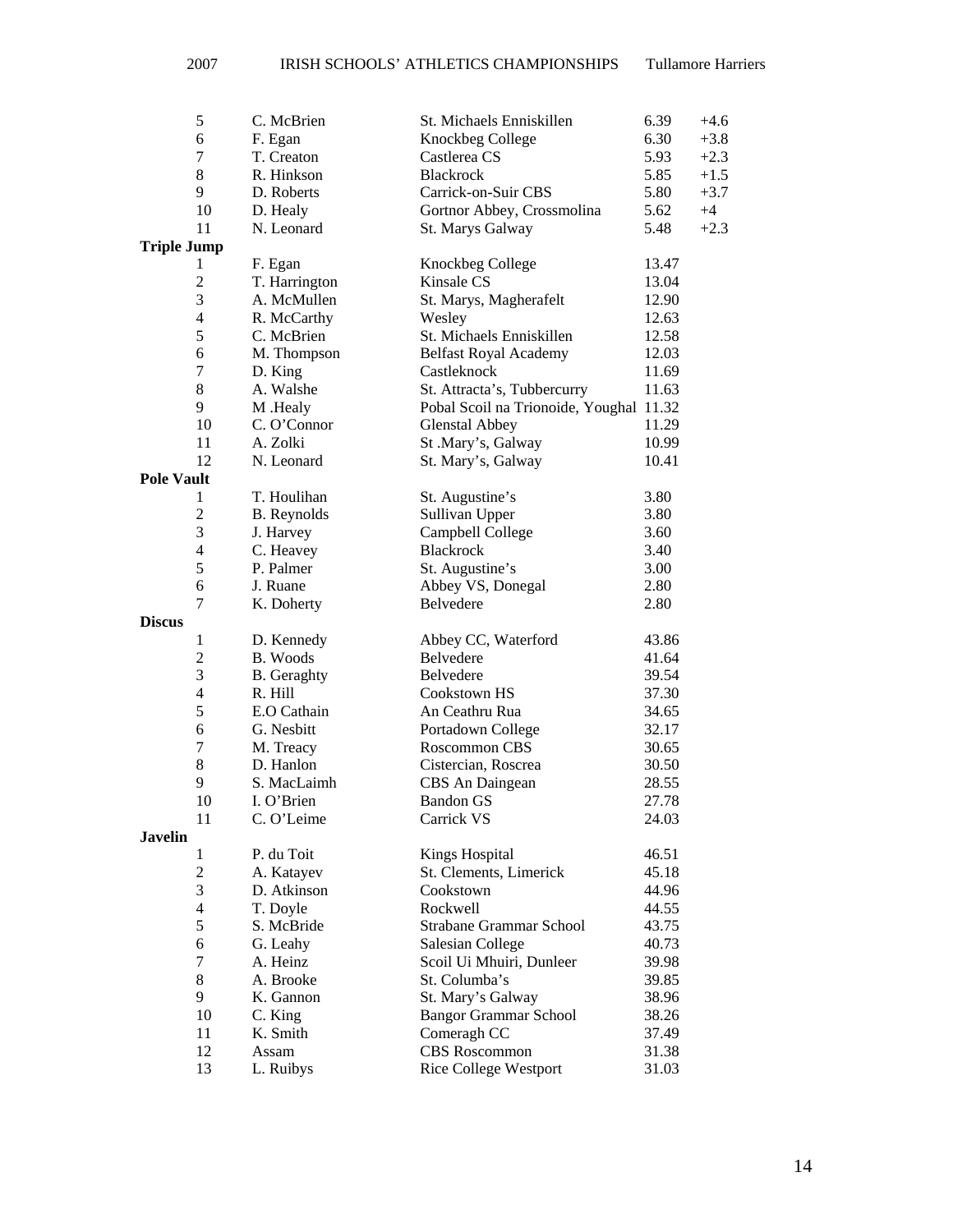|                    | $\mathfrak s$            | C. McBrien         | St. Michaels Enniskillen                             | 6.39<br>$+4.6$ |
|--------------------|--------------------------|--------------------|------------------------------------------------------|----------------|
|                    | 6                        | F. Egan            | Knockbeg College                                     | 6.30<br>$+3.8$ |
|                    | 7                        | T. Creaton         | Castlerea CS                                         | 5.93<br>$+2.3$ |
|                    | $\,8\,$                  | R. Hinkson         | <b>Blackrock</b>                                     | 5.85<br>$+1.5$ |
|                    | 9                        | D. Roberts         | Carrick-on-Suir CBS                                  | 5.80<br>$+3.7$ |
|                    | 10                       | D. Healy           | Gortnor Abbey, Crossmolina                           | 5.62<br>$+4$   |
|                    | 11                       | N. Leonard         | St. Marys Galway                                     | 5.48<br>$+2.3$ |
| <b>Triple Jump</b> |                          |                    |                                                      |                |
|                    | 1                        | F. Egan            | Knockbeg College                                     | 13.47          |
|                    | $\overline{c}$           | T. Harrington      | Kinsale CS                                           | 13.04          |
|                    | $\mathfrak{Z}$           | A. McMullen        | St. Marys, Magherafelt                               | 12.90          |
|                    | $\overline{4}$           | R. McCarthy        | Wesley                                               | 12.63          |
|                    | 5                        | C. McBrien         | St. Michaels Enniskillen                             | 12.58          |
|                    | 6                        | M. Thompson        | <b>Belfast Royal Academy</b>                         | 12.03          |
|                    | $\tau$                   | D. King            | Castleknock                                          | 11.69          |
|                    | $\,8\,$                  | A. Walshe          | St. Attracta's, Tubbercurry                          | 11.63          |
|                    | 9                        | M .Healy           | Pobal Scoil na Trionoide, Youghal 11.32              |                |
|                    | 10                       | C. O'Connor        | <b>Glenstal Abbey</b>                                | 11.29          |
|                    | 11                       | A. Zolki           | St .Mary's, Galway                                   | 10.99          |
|                    | 12                       | N. Leonard         | St. Mary's, Galway                                   | 10.41          |
| <b>Pole Vault</b>  |                          |                    |                                                      |                |
|                    | 1                        | T. Houlihan        | St. Augustine's                                      | 3.80           |
|                    | $\mathfrak 2$            | <b>B.</b> Reynolds | Sullivan Upper                                       | 3.80           |
|                    | 3                        | J. Harvey          | Campbell College                                     | 3.60           |
|                    | $\overline{\mathcal{A}}$ | C. Heavey          | Blackrock                                            | 3.40           |
|                    | 5                        | P. Palmer          | St. Augustine's                                      | 3.00           |
|                    | 6                        | J. Ruane           | Abbey VS, Donegal                                    | 2.80           |
|                    | $\tau$                   | K. Doherty         | Belvedere                                            | 2.80           |
|                    |                          |                    |                                                      |                |
|                    |                          |                    |                                                      |                |
| <b>Discus</b>      |                          |                    |                                                      |                |
|                    | $\mathbf{1}$             | D. Kennedy         | Abbey CC, Waterford                                  | 43.86          |
|                    | $\sqrt{2}$               | B. Woods           | Belvedere                                            | 41.64          |
|                    | $\mathfrak{Z}$           | <b>B.</b> Geraghty | Belvedere                                            | 39.54          |
|                    | $\overline{4}$           | R. Hill            | Cookstown HS                                         | 37.30          |
|                    | $\mathfrak s$            | E.O Cathain        | An Ceathru Rua                                       | 34.65          |
|                    | 6                        | G. Nesbitt         | Portadown College                                    | 32.17          |
|                    | $\tau$                   | M. Treacy          | Roscommon CBS                                        | 30.65          |
|                    | $8\,$                    | D. Hanlon          | Cistercian, Roscrea                                  | 30.50          |
|                    | 9                        | S. MacLaimh        | CBS An Daingean                                      | 28.55          |
|                    | 10                       | I. O'Brien         | <b>Bandon GS</b>                                     | 27.78          |
|                    | 11                       | C. O'Leime         | Carrick VS                                           | 24.03          |
| <b>Javelin</b>     | 1                        |                    |                                                      |                |
|                    |                          | P. du Toit         | <b>Kings Hospital</b>                                | 46.51          |
|                    | $\mathfrak{2}$           | A. Katayev         | St. Clements, Limerick                               | 45.18          |
|                    | 3                        | D. Atkinson        | Cookstown                                            | 44.96          |
|                    | $\overline{4}$           | T. Doyle           | Rockwell                                             | 44.55          |
|                    | 5                        | S. McBride         | Strabane Grammar School                              | 43.75          |
|                    | 6                        | G. Leahy           | <b>Salesian College</b>                              | 40.73          |
|                    | $\tau$                   | A. Heinz           | Scoil Ui Mhuiri, Dunleer                             | 39.98          |
|                    | 8                        | A. Brooke          | St. Columba's                                        | 39.85          |
|                    | 9                        | K. Gannon          | St. Mary's Galway                                    | 38.96          |
|                    | 10                       | C. King            | <b>Bangor Grammar School</b>                         | 38.26          |
|                    | 11                       | K. Smith           | Comeragh CC                                          | 37.49          |
|                    | 12<br>13                 | Assam<br>L. Ruibys | <b>CBS</b> Roscommon<br><b>Rice College Westport</b> | 31.38<br>31.03 |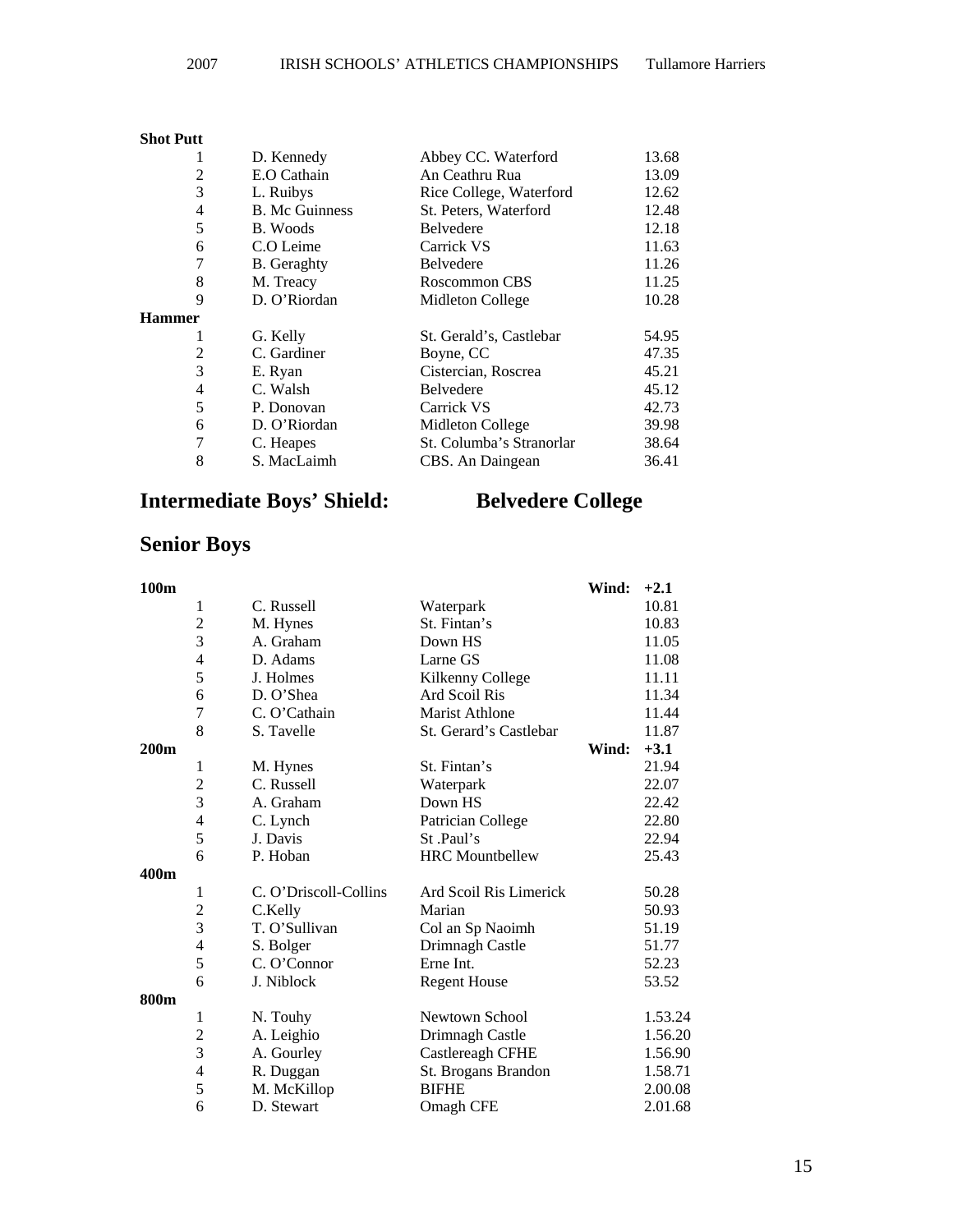### **Shot Putt**

| 1             | D. Kennedy            | Abbey CC. Waterford      | 13.68 |
|---------------|-----------------------|--------------------------|-------|
| 2             | E.O Cathain           | An Ceathru Rua           | 13.09 |
| 3             | L. Ruibys             | Rice College, Waterford  | 12.62 |
| 4             | <b>B.</b> Mc Guinness | St. Peters, Waterford    | 12.48 |
| 5             | B. Woods              | <b>Belvedere</b>         | 12.18 |
| 6             | C.O Leime             | Carrick VS               | 11.63 |
| 7             | <b>B.</b> Geraghty    | <b>Belvedere</b>         | 11.26 |
| 8             | M. Treacy             | Roscommon CBS            | 11.25 |
| 9             | D. O'Riordan          | Midleton College         | 10.28 |
| <b>Hammer</b> |                       |                          |       |
| 1             | G. Kelly              | St. Gerald's, Castlebar  | 54.95 |
| 2             | C. Gardiner           | Boyne, CC                | 47.35 |
| 3             | E. Ryan               | Cistercian, Roscrea      | 45.21 |
| 4             | C. Walsh              | <b>Belvedere</b>         | 45.12 |
| 5             | P. Donovan            | Carrick VS               | 42.73 |
| 6             | D. O'Riordan          | Midleton College         | 39.98 |
| 7             | C. Heapes             | St. Columba's Stranorlar | 38.64 |
| 8             | S. MacLaimh           | CBS. An Daingean         | 36.41 |

### **Intermediate Boys' Shield: Belvedere College**

## **Senior Boys**

| 100m             |                |                       |                        | Wind: | $+2.1$  |
|------------------|----------------|-----------------------|------------------------|-------|---------|
|                  | 1              | C. Russell            | Waterpark              |       | 10.81   |
|                  | $\overline{c}$ | M. Hynes              | St. Fintan's           |       | 10.83   |
|                  | 3              | A. Graham             | Down HS                |       | 11.05   |
|                  | $\overline{4}$ | D. Adams              | Larne GS               |       | 11.08   |
|                  | 5              | J. Holmes             | Kilkenny College       |       | 11.11   |
|                  | 6              | D. O'Shea             | Ard Scoil Ris          |       | 11.34   |
|                  | $\overline{7}$ | C. O'Cathain          | <b>Marist Athlone</b>  |       | 11.44   |
|                  | 8              | S. Tavelle            | St. Gerard's Castlebar |       | 11.87   |
| 200 <sub>m</sub> |                |                       |                        | Wind: | $+3.1$  |
|                  | 1              | M. Hynes              | St. Fintan's           |       | 21.94   |
|                  | $\overline{c}$ | C. Russell            | Waterpark              |       | 22.07   |
|                  | 3              | A. Graham             | Down HS                |       | 22.42   |
|                  | $\overline{4}$ | C. Lynch              | Patrician College      |       | 22.80   |
|                  | 5              | J. Davis              | St.Paul's              |       | 22.94   |
|                  | 6              | P. Hoban              | <b>HRC</b> Mountbellew |       | 25.43   |
| 400m             |                |                       |                        |       |         |
|                  | 1              | C. O'Driscoll-Collins | Ard Scoil Ris Limerick |       | 50.28   |
|                  | $\overline{c}$ | C.Kelly               | Marian                 |       | 50.93   |
|                  | 3              | T. O'Sullivan         | Col an Sp Naoimh       |       | 51.19   |
|                  | $\overline{4}$ | S. Bolger             | Drimnagh Castle        |       | 51.77   |
|                  | 5              | C. O'Connor           | Erne Int.              |       | 52.23   |
|                  | 6              | J. Niblock            | <b>Regent House</b>    |       | 53.52   |
| 800m             |                |                       |                        |       |         |
|                  | 1              | N. Touhy              | Newtown School         |       | 1.53.24 |
|                  | $\overline{2}$ | A. Leighio            | Drimnagh Castle        |       | 1.56.20 |
|                  | 3              | A. Gourley            | Castlereagh CFHE       |       | 1.56.90 |
|                  | $\overline{4}$ | R. Duggan             | St. Brogans Brandon    |       | 1.58.71 |
|                  | 5              | M. McKillop           | <b>BIFHE</b>           |       | 2.00.08 |
|                  | 6              | D. Stewart            | Omagh CFE              |       | 2.01.68 |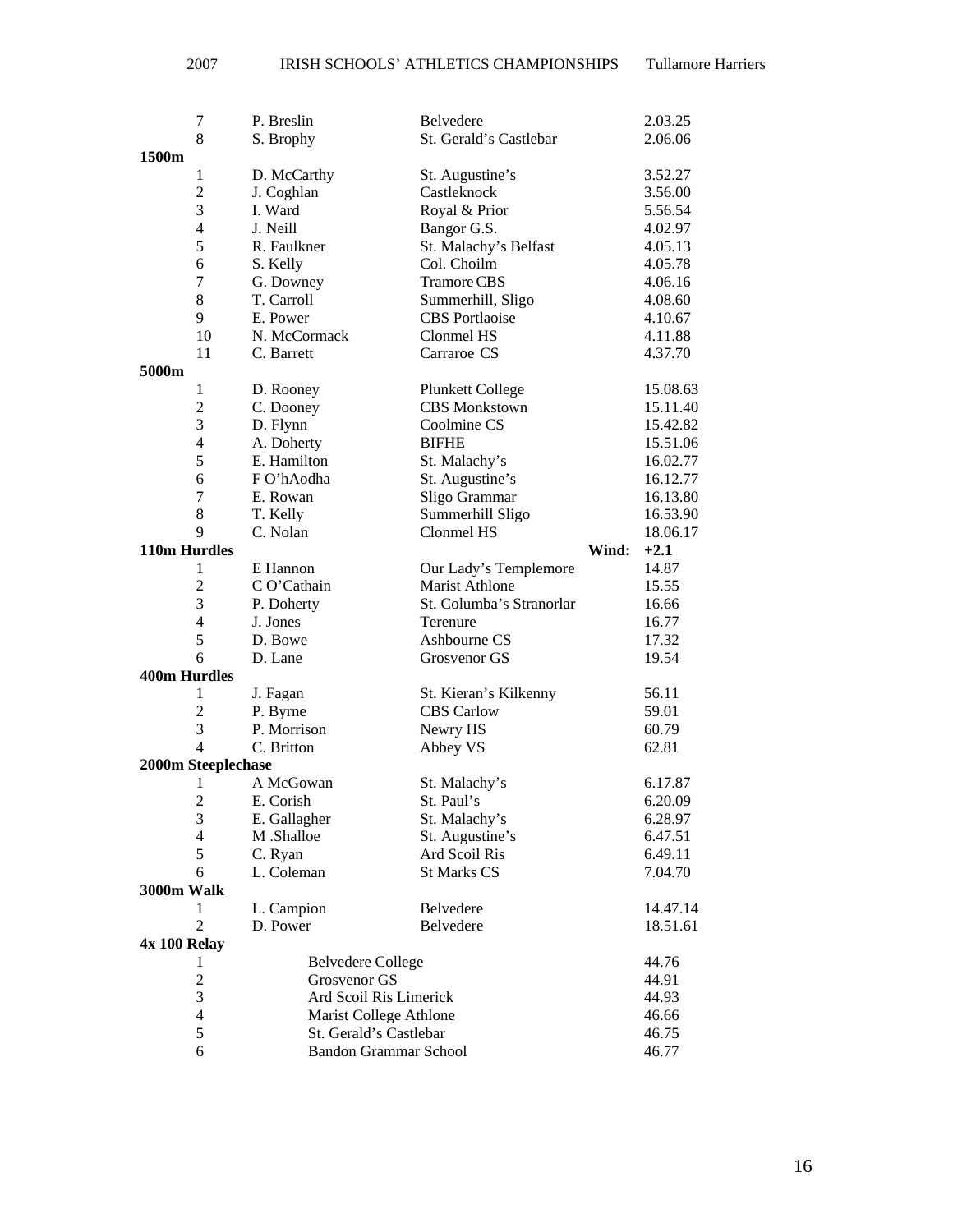|                     | 7                   | P. Breslin                   | Belvedere                                  |       | 2.03.25        |
|---------------------|---------------------|------------------------------|--------------------------------------------|-------|----------------|
|                     | 8                   | S. Brophy                    | St. Gerald's Castlebar                     |       | 2.06.06        |
| 1500m               |                     |                              |                                            |       |                |
|                     | 1                   | D. McCarthy                  | St. Augustine's                            |       | 3.52.27        |
|                     | $\overline{2}$      | J. Coghlan                   | Castleknock                                |       | 3.56.00        |
|                     | 3                   | I. Ward                      | Royal & Prior                              |       | 5.56.54        |
|                     | $\overline{4}$      | J. Neill                     | Bangor G.S.                                |       | 4.02.97        |
|                     | 5                   | R. Faulkner                  | St. Malachy's Belfast                      |       | 4.05.13        |
|                     | 6                   | S. Kelly                     | Col. Choilm                                |       | 4.05.78        |
|                     | 7                   | G. Downey                    | <b>Tramore CBS</b>                         |       | 4.06.16        |
|                     | 8                   | T. Carroll                   | Summerhill, Sligo                          |       | 4.08.60        |
|                     | 9                   | E. Power                     | <b>CBS</b> Portlaoise                      |       | 4.10.67        |
|                     | 10                  | N. McCormack                 | Clonmel HS                                 |       | 4.11.88        |
|                     | 11                  | C. Barrett                   | Carraroe CS                                |       | 4.37.70        |
| 5000m               |                     |                              |                                            |       |                |
|                     | 1                   | D. Rooney                    | <b>Plunkett College</b>                    |       | 15.08.63       |
|                     | $\overline{2}$      | C. Dooney                    | <b>CBS</b> Monkstown                       |       | 15.11.40       |
|                     | 3                   | D. Flynn                     | Coolmine CS                                |       | 15.42.82       |
|                     | $\overline{4}$      | A. Doherty                   | <b>BIFHE</b>                               |       | 15.51.06       |
|                     | 5                   | E. Hamilton                  | St. Malachy's                              |       | 16.02.77       |
|                     | 6                   | F O'hAodha                   | St. Augustine's                            |       | 16.12.77       |
|                     | 7                   | E. Rowan                     | Sligo Grammar                              |       | 16.13.80       |
|                     | 8                   | T. Kelly                     | Summerhill Sligo                           |       | 16.53.90       |
|                     | 9                   | C. Nolan                     | Clonmel HS                                 |       | 18.06.17       |
| 110m Hurdles        |                     |                              |                                            | Wind: | $+2.1$         |
|                     | 1                   | E Hannon                     | Our Lady's Templemore                      |       | 14.87          |
|                     | $\overline{2}$      | C O'Cathain                  | <b>Marist Athlone</b>                      |       | 15.55          |
|                     | 3                   | P. Doherty                   | St. Columba's Stranorlar                   |       | 16.66          |
|                     | $\overline{4}$      | J. Jones                     | Terenure                                   |       | 16.77          |
|                     | 5                   | D. Bowe                      | Ashbourne CS                               |       | 17.32          |
|                     | 6                   | D. Lane                      | Grosvenor GS                               |       | 19.54          |
| <b>400m Hurdles</b> |                     |                              |                                            |       |                |
|                     | 1<br>$\overline{c}$ | J. Fagan                     | St. Kieran's Kilkenny<br><b>CBS</b> Carlow |       | 56.11<br>59.01 |
|                     | 3                   | P. Byrne<br>P. Morrison      | Newry HS                                   |       | 60.79          |
|                     | 4                   | C. Britton                   | Abbey VS                                   |       | 62.81          |
|                     | 2000m Steeplechase  |                              |                                            |       |                |
|                     | 1                   | A McGowan                    | St. Malachy's                              |       | 6.17.87        |
|                     | $\overline{2}$      | E. Corish                    | St. Paul's                                 |       | 6.20.09        |
|                     | 3                   | E. Gallagher                 | St. Malachy's                              |       | 6.28.97        |
|                     | $\overline{4}$      | M .Shalloe                   | St. Augustine's                            |       | 6.47.51        |
|                     | 5                   | C. Ryan                      | Ard Scoil Ris                              |       | 6.49.11        |
|                     | 6                   | L. Coleman                   | <b>St Marks CS</b>                         |       | 7.04.70        |
| 3000m Walk          |                     |                              |                                            |       |                |
|                     | 1                   | L. Campion                   | Belvedere                                  |       | 14.47.14       |
|                     | $\overline{2}$      | D. Power                     | Belvedere                                  |       | 18.51.61       |
| 4x 100 Relay        |                     |                              |                                            |       |                |
|                     | 1                   | <b>Belvedere College</b>     |                                            |       | 44.76          |
|                     | $\overline{c}$      | Grosvenor GS                 |                                            |       | 44.91          |
|                     | 3                   | Ard Scoil Ris Limerick       |                                            |       | 44.93          |
|                     | $\overline{4}$      | Marist College Athlone       |                                            |       | 46.66          |
|                     | 5                   | St. Gerald's Castlebar       |                                            |       | 46.75          |
|                     | 6                   | <b>Bandon Grammar School</b> |                                            |       | 46.77          |

16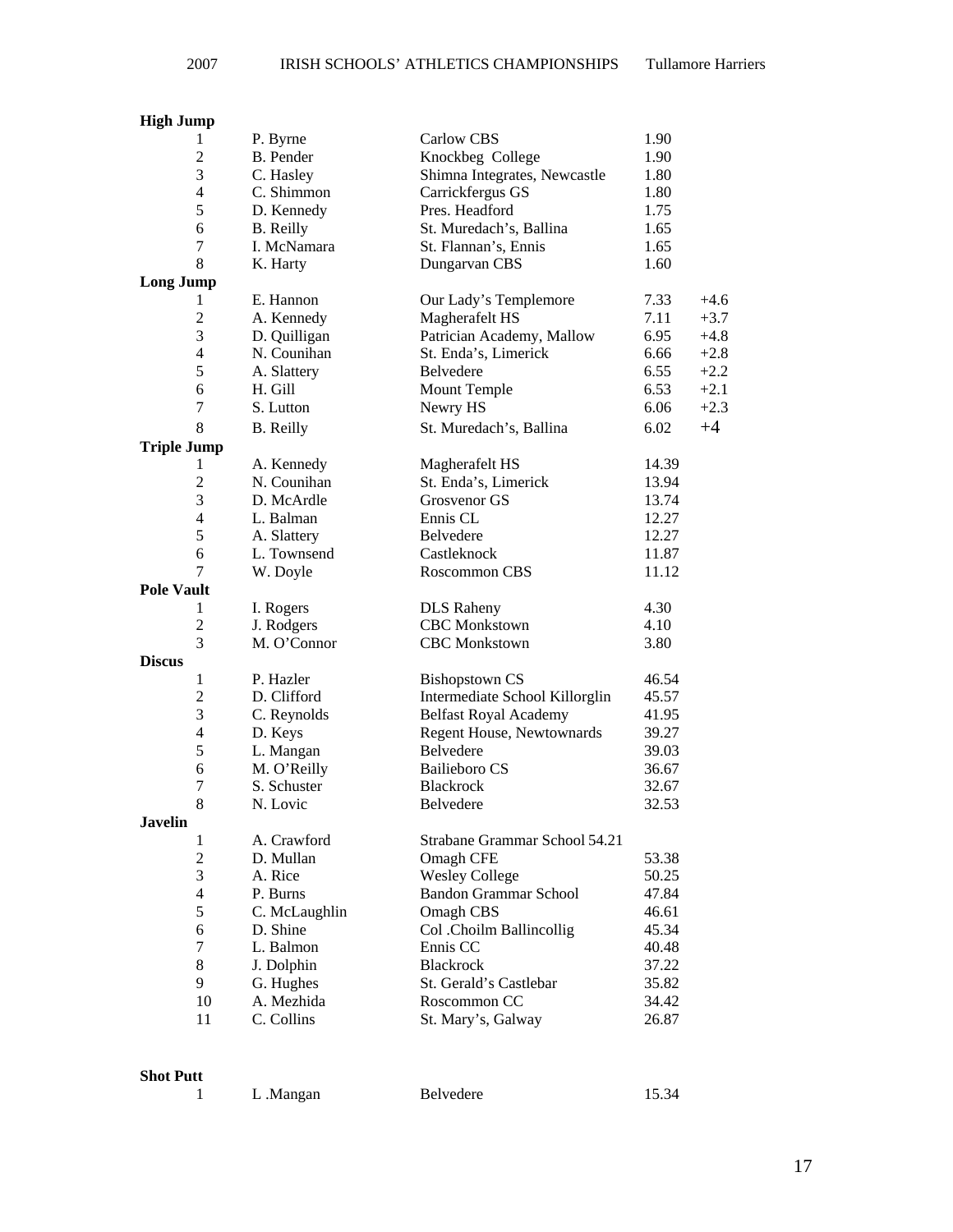### **High Jump**

|                    | 1                        | P. Byrne         | <b>Carlow CBS</b>              | 1.90  |        |
|--------------------|--------------------------|------------------|--------------------------------|-------|--------|
|                    | $\overline{2}$           | B. Pender        | Knockbeg College               | 1.90  |        |
|                    | 3                        | C. Hasley        | Shimna Integrates, Newcastle   | 1.80  |        |
|                    | $\overline{4}$           | C. Shimmon       | Carrickfergus GS               | 1.80  |        |
|                    | 5                        | D. Kennedy       | Pres. Headford                 | 1.75  |        |
|                    | 6                        | <b>B.</b> Reilly | St. Muredach's, Ballina        | 1.65  |        |
|                    | $\tau$                   | I. McNamara      | St. Flannan's, Ennis           | 1.65  |        |
|                    | 8                        | K. Harty         | Dungarvan CBS                  | 1.60  |        |
| <b>Long Jump</b>   |                          |                  |                                |       |        |
|                    | 1                        | E. Hannon        | Our Lady's Templemore          | 7.33  | $+4.6$ |
|                    | $\overline{2}$           | A. Kennedy       | Magherafelt HS                 | 7.11  | $+3.7$ |
|                    | 3                        | D. Quilligan     | Patrician Academy, Mallow      | 6.95  | $+4.8$ |
|                    | $\overline{4}$           | N. Counihan      | St. Enda's, Limerick           | 6.66  | $+2.8$ |
|                    | 5                        | A. Slattery      | Belvedere                      | 6.55  | $+2.2$ |
|                    | 6                        | H. Gill          | <b>Mount Temple</b>            | 6.53  | $+2.1$ |
|                    | $\tau$                   | S. Lutton        | Newry HS                       | 6.06  | $+2.3$ |
|                    | 8                        | <b>B.</b> Reilly | St. Muredach's, Ballina        | 6.02  | $+4$   |
| <b>Triple Jump</b> |                          |                  |                                |       |        |
|                    | 1                        | A. Kennedy       | Magherafelt HS                 | 14.39 |        |
|                    | $\overline{2}$           | N. Counihan      | St. Enda's, Limerick           | 13.94 |        |
|                    | 3                        | D. McArdle       | Grosvenor GS                   | 13.74 |        |
|                    | $\overline{\mathcal{L}}$ | L. Balman        | Ennis CL                       | 12.27 |        |
|                    | 5                        | A. Slattery      | Belvedere                      | 12.27 |        |
|                    | 6                        | L. Townsend      | Castleknock                    | 11.87 |        |
|                    | 7                        | W. Doyle         | Roscommon CBS                  | 11.12 |        |
| <b>Pole Vault</b>  |                          |                  |                                |       |        |
|                    | 1                        | I. Rogers        | <b>DLS</b> Raheny              | 4.30  |        |
|                    | $\overline{2}$           | J. Rodgers       | <b>CBC</b> Monkstown           | 4.10  |        |
|                    | 3                        | M. O'Connor      | <b>CBC</b> Monkstown           | 3.80  |        |
| <b>Discus</b>      |                          |                  |                                |       |        |
|                    | $\mathbf{1}$             | P. Hazler        | <b>Bishopstown CS</b>          | 46.54 |        |
|                    | $\overline{2}$           | D. Clifford      | Intermediate School Killorglin | 45.57 |        |
|                    | 3                        | C. Reynolds      | <b>Belfast Royal Academy</b>   | 41.95 |        |
|                    | $\overline{\mathcal{L}}$ | D. Keys          | Regent House, Newtownards      | 39.27 |        |
|                    | 5                        | L. Mangan        | Belvedere                      | 39.03 |        |
|                    | 6                        | M. O'Reilly      | <b>Bailieboro CS</b>           | 36.67 |        |
|                    | 7                        | S. Schuster      | <b>Blackrock</b>               | 32.67 |        |
|                    | 8                        | N. Lovic         | Belvedere                      | 32.53 |        |
| <b>Javelin</b>     |                          |                  |                                |       |        |
|                    | $\mathbf{1}$             | A. Crawford      | Strabane Grammar School 54.21  |       |        |
|                    | $\overline{2}$           | D. Mullan        | Omagh CFE                      | 53.38 |        |
|                    | 3                        | A. Rice          | <b>Wesley College</b>          | 50.25 |        |
|                    | $\overline{4}$           | P. Burns         | <b>Bandon Grammar School</b>   | 47.84 |        |
|                    | 5                        | C. McLaughlin    | Omagh CBS                      | 46.61 |        |
|                    | 6                        | D. Shine         | Col .Choilm Ballincollig       | 45.34 |        |
|                    | 7                        | L. Balmon        | Ennis CC                       | 40.48 |        |
|                    | 8                        | J. Dolphin       | Blackrock                      | 37.22 |        |
|                    | 9                        | G. Hughes        | St. Gerald's Castlebar         | 35.82 |        |
|                    | 10                       | A. Mezhida       | Roscommon CC                   | 34.42 |        |
|                    | 11                       | C. Collins       | St. Mary's, Galway             | 26.87 |        |
|                    |                          |                  |                                |       |        |

**Shot Putt** 

|  | L.Mangan | Belvedere | 15.34 |
|--|----------|-----------|-------|
|--|----------|-----------|-------|